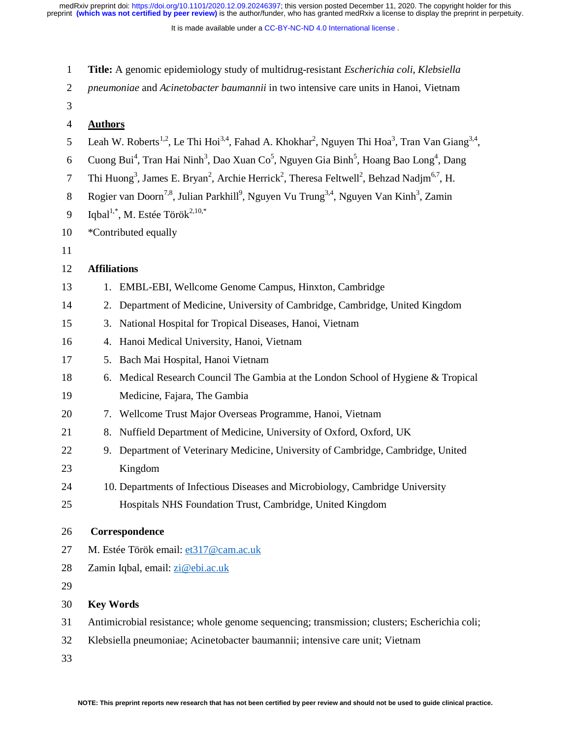It is made available under a CC-BY-NC-ND 4.0 International license.

| $\mathbf{1}$   | Title: A genomic epidemiology study of multidrug-resistant <i>Escherichia coli, Klebsiella</i>                                                             |  |  |
|----------------|------------------------------------------------------------------------------------------------------------------------------------------------------------|--|--|
| $\overline{2}$ | pneumoniae and Acinetobacter baumannii in two intensive care units in Hanoi, Vietnam                                                                       |  |  |
| 3              |                                                                                                                                                            |  |  |
| 4              | <b>Authors</b>                                                                                                                                             |  |  |
| 5              | Leah W. Roberts <sup>1,2</sup> , Le Thi Hoi <sup>3,4</sup> , Fahad A. Khokhar <sup>2</sup> , Nguyen Thi Hoa <sup>3</sup> , Tran Van Giang <sup>3,4</sup> , |  |  |
| 6              | Cuong Bui <sup>4</sup> , Tran Hai Ninh <sup>3</sup> , Dao Xuan Co <sup>5</sup> , Nguyen Gia Binh <sup>5</sup> , Hoang Bao Long <sup>4</sup> , Dang         |  |  |
| 7              | Thi Huong <sup>3</sup> , James E. Bryan <sup>2</sup> , Archie Herrick <sup>2</sup> , Theresa Feltwell <sup>2</sup> , Behzad Nadjm <sup>6,7</sup> , H.      |  |  |
| $8\,$          | Rogier van Doorn <sup>7,8</sup> , Julian Parkhill <sup>9</sup> , Nguyen Vu Trung <sup>3,4</sup> , Nguyen Van Kinh <sup>3</sup> , Zamin                     |  |  |
| 9              | Iqbal <sup>1,*</sup> , M. Estée Török <sup>2,10,*</sup>                                                                                                    |  |  |
| 10             | *Contributed equally                                                                                                                                       |  |  |
| 11             |                                                                                                                                                            |  |  |
| 12             | <b>Affiliations</b>                                                                                                                                        |  |  |
| 13             | EMBL-EBI, Wellcome Genome Campus, Hinxton, Cambridge<br>1.                                                                                                 |  |  |
| 14             | Department of Medicine, University of Cambridge, Cambridge, United Kingdom<br>2.                                                                           |  |  |
| 15             | National Hospital for Tropical Diseases, Hanoi, Vietnam<br>3.                                                                                              |  |  |
| 16             | Hanoi Medical University, Hanoi, Vietnam<br>4.                                                                                                             |  |  |
| 17             | Bach Mai Hospital, Hanoi Vietnam<br>5.                                                                                                                     |  |  |
| 18             | Medical Research Council The Gambia at the London School of Hygiene & Tropical<br>6.                                                                       |  |  |
| 19             | Medicine, Fajara, The Gambia                                                                                                                               |  |  |
| 20             | 7. Wellcome Trust Major Overseas Programme, Hanoi, Vietnam                                                                                                 |  |  |
| 21             | Nuffield Department of Medicine, University of Oxford, Oxford, UK<br>8.                                                                                    |  |  |
| 22             | Department of Veterinary Medicine, University of Cambridge, Cambridge, United<br>9.                                                                        |  |  |
| 23             | Kingdom                                                                                                                                                    |  |  |
| 24             | 10. Departments of Infectious Diseases and Microbiology, Cambridge University                                                                              |  |  |
| 25             | Hospitals NHS Foundation Trust, Cambridge, United Kingdom                                                                                                  |  |  |
| 26             | Correspondence                                                                                                                                             |  |  |
| 27             | M. Estée Török email: et317@cam.ac.uk                                                                                                                      |  |  |
| 28             | Zamin Iqbal, email: zi@ebi.ac.uk                                                                                                                           |  |  |
| 29             |                                                                                                                                                            |  |  |
| 30             | <b>Key Words</b>                                                                                                                                           |  |  |
| 31             | Antimicrobial resistance; whole genome sequencing; transmission; clusters; Escherichia coli;                                                               |  |  |
| 32             | Klebsiella pneumoniae; Acinetobacter baumannii; intensive care unit; Vietnam                                                                               |  |  |
| 33             |                                                                                                                                                            |  |  |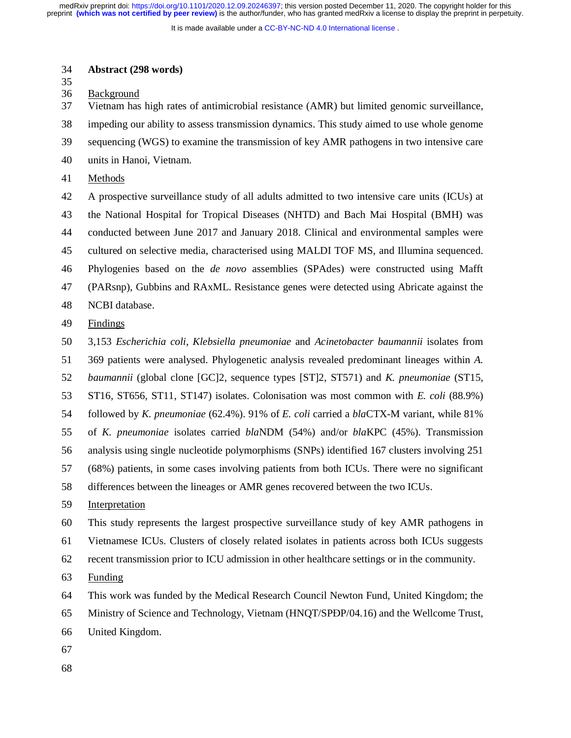It is made available under a CC-BY-NC-ND 4.0 International license.

### 34 **Abstract (298 words)**

35

36 Background

37 Vietnam has high rates of antimicrobial resistance (AMR) but limited genomic surveillance,

38 impeding our ability to assess transmission dynamics. This study aimed to use whole genome

39 sequencing (WGS) to examine the transmission of key AMR pathogens in two intensive care

40 units in Hanoi, Vietnam.

41 Methods

42 A prospective surveillance study of all adults admitted to two intensive care units (ICUs) at 43 the National Hospital for Tropical Diseases (NHTD) and Bach Mai Hospital (BMH) was 44 conducted between June 2017 and January 2018. Clinical and environmental samples were 45 cultured on selective media, characterised using MALDI TOF MS, and Illumina sequenced. 46 Phylogenies based on the *de novo* assemblies (SPAdes) were constructed using Mafft 47 (PARsnp), Gubbins and RAxML. Resistance genes were detected using Abricate against the 48 NCBI database. 49 Findings

50 3,153 *Escherichia coli*, *Klebsiella pneumoniae* and *Acinetobacter baumannii* isolates from 51 369 patients were analysed. Phylogenetic analysis revealed predominant lineages within *A.* 

52 *baumannii* (global clone [GC]2, sequence types [ST]2, ST571) and *K. pneumoniae* (ST15,

53 ST16, ST656, ST11, ST147) isolates. Colonisation was most common with *E. coli* (88.9%)

54 followed by *K. pneumoniae* (62.4%). 91% of *E. coli* carried a *bla*CTX-M variant, while 81%

55 of *K. pneumoniae* isolates carried *bla*NDM (54%) and/or *bla*KPC (45%). Transmission

56 analysis using single nucleotide polymorphisms (SNPs) identified 167 clusters involving 251

57 (68%) patients, in some cases involving patients from both ICUs. There were no significant

58 differences between the lineages or AMR genes recovered between the two ICUs.

59 Interpretation

60 This study represents the largest prospective surveillance study of key AMR pathogens in

61 Vietnamese ICUs. Clusters of closely related isolates in patients across both ICUs suggests

62 recent transmission prior to ICU admission in other healthcare settings or in the community.

63 Funding

64 This work was funded by the Medical Research Council Newton Fund, United Kingdom; the

65 Ministry of Science and Technology, Vietnam (HNQT/SPĐP/04.16) and the Wellcome Trust,<br>66 United Kingdom.

United Kingdom.

67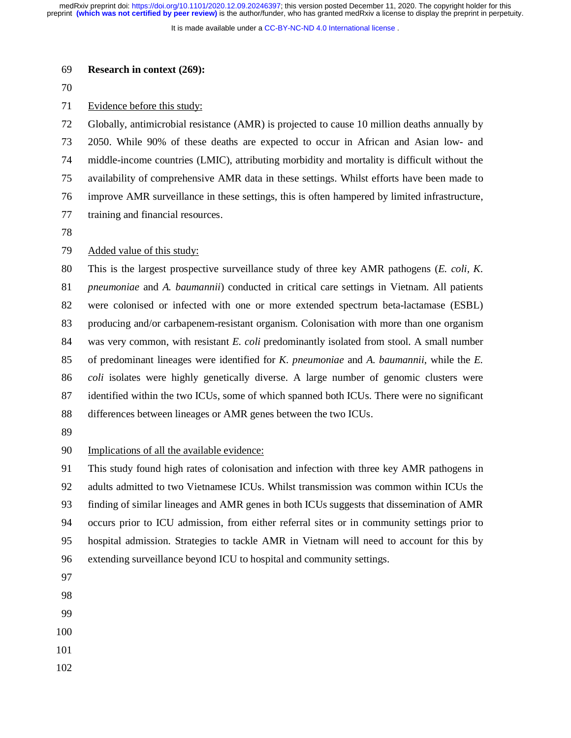It is made available under a [CC-BY-NC-ND 4.0 International license](http://creativecommons.org/licenses/by-nc-nd/4.0/) .

## 69 **Research in context (269):**

70

## 71 Evidence before this study:

72 Globally, antimicrobial resistance (AMR) is projected to cause 10 million deaths annually by 73 2050. While 90% of these deaths are expected to occur in African and Asian low- and 74 middle-income countries (LMIC), attributing morbidity and mortality is difficult without the 75 availability of comprehensive AMR data in these settings. Whilst efforts have been made to 76 improve AMR surveillance in these settings, this is often hampered by limited infrastructure, 77 training and financial resources.

78

## 79 Added value of this study:

80 This is the largest prospective surveillance study of three key AMR pathogens (*E. coli, K.*  81 *pneumoniae* and *A. baumannii*) conducted in critical care settings in Vietnam. All patients 82 were colonised or infected with one or more extended spectrum beta-lactamase (ESBL) 83 producing and/or carbapenem-resistant organism. Colonisation with more than one organism 84 was very common, with resistant *E. coli* predominantly isolated from stool. A small number 85 of predominant lineages were identified for *K. pneumoniae* and *A. baumannii*, while the *E.*  86 *coli* isolates were highly genetically diverse. A large number of genomic clusters were 87 identified within the two ICUs, some of which spanned both ICUs. There were no significant 88 differences between lineages or AMR genes between the two ICUs.

89

### 90 Implications of all the available evidence:

91 This study found high rates of colonisation and infection with three key AMR pathogens in 92 adults admitted to two Vietnamese ICUs. Whilst transmission was common within ICUs the 93 finding of similar lineages and AMR genes in both ICUs suggests that dissemination of AMR 94 occurs prior to ICU admission, from either referral sites or in community settings prior to 95 hospital admission. Strategies to tackle AMR in Vietnam will need to account for this by 96 extending surveillance beyond ICU to hospital and community settings.

- 97
- 98
- 99
- 100
- 101
- 102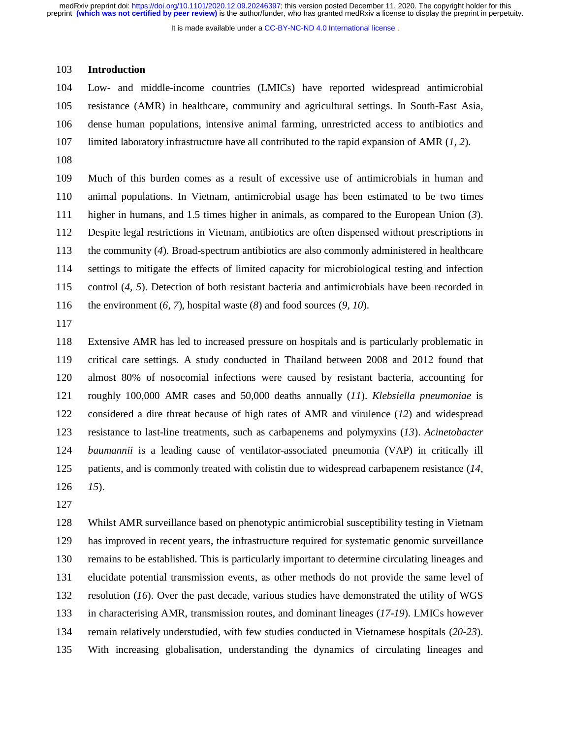It is made available under a [CC-BY-NC-ND 4.0 International license](http://creativecommons.org/licenses/by-nc-nd/4.0/) .

### 103 **Introduction**

104 Low- and middle-income countries (LMICs) have reported widespread antimicrobial 105 resistance (AMR) in healthcare, community and agricultural settings. In South-East Asia, 106 dense human populations, intensive animal farming, unrestricted access to antibiotics and 107 limited laboratory infrastructure have all contributed to the rapid expansion of AMR (*1, 2*). 108

109 Much of this burden comes as a result of excessive use of antimicrobials in human and 110 animal populations. In Vietnam, antimicrobial usage has been estimated to be two times 111 higher in humans, and 1.5 times higher in animals, as compared to the European Union (*3*). 112 Despite legal restrictions in Vietnam, antibiotics are often dispensed without prescriptions in 113 the community (*4*). Broad-spectrum antibiotics are also commonly administered in healthcare 114 settings to mitigate the effects of limited capacity for microbiological testing and infection 115 control (*4, 5*). Detection of both resistant bacteria and antimicrobials have been recorded in 116 the environment (*6, 7*), hospital waste (*8*) and food sources (*9, 10*).

117

118 Extensive AMR has led to increased pressure on hospitals and is particularly problematic in 119 critical care settings. A study conducted in Thailand between 2008 and 2012 found that 120 almost 80% of nosocomial infections were caused by resistant bacteria, accounting for 121 roughly 100,000 AMR cases and 50,000 deaths annually (*11*). *Klebsiella pneumoniae* is 122 considered a dire threat because of high rates of AMR and virulence (*12*) and widespread 123 resistance to last-line treatments, such as carbapenems and polymyxins (*13*). *Acinetobacter*  124 *baumannii* is a leading cause of ventilator-associated pneumonia (VAP) in critically ill 125 patients, and is commonly treated with colistin due to widespread carbapenem resistance (*14,*  126 *15*).

127

128 Whilst AMR surveillance based on phenotypic antimicrobial susceptibility testing in Vietnam 129 has improved in recent years, the infrastructure required for systematic genomic surveillance 130 remains to be established. This is particularly important to determine circulating lineages and 131 elucidate potential transmission events, as other methods do not provide the same level of 132 resolution (*16*). Over the past decade, various studies have demonstrated the utility of WGS 133 in characterising AMR, transmission routes, and dominant lineages (*17-19*). LMICs however 134 remain relatively understudied, with few studies conducted in Vietnamese hospitals (*20-23*). 135 With increasing globalisation, understanding the dynamics of circulating lineages and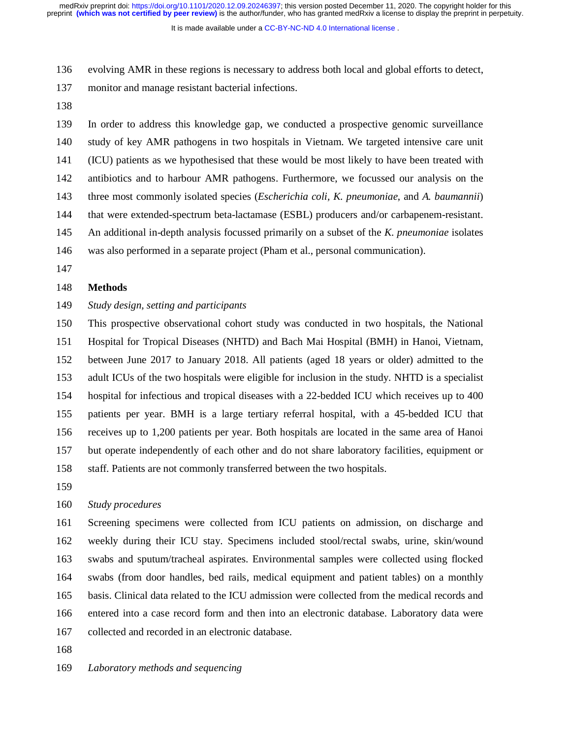It is made available under a [CC-BY-NC-ND 4.0 International license](http://creativecommons.org/licenses/by-nc-nd/4.0/) .

136 evolving AMR in these regions is necessary to address both local and global efforts to detect,

- 137 monitor and manage resistant bacterial infections.
- 138

139 In order to address this knowledge gap, we conducted a prospective genomic surveillance 140 study of key AMR pathogens in two hospitals in Vietnam. We targeted intensive care unit 141 (ICU) patients as we hypothesised that these would be most likely to have been treated with 142 antibiotics and to harbour AMR pathogens. Furthermore, we focussed our analysis on the 143 three most commonly isolated species (*Escherichia coli, K. pneumoniae*, and *A. baumannii*) 144 that were extended-spectrum beta-lactamase (ESBL) producers and/or carbapenem-resistant. 145 An additional in-depth analysis focussed primarily on a subset of the *K. pneumoniae* isolates 146 was also performed in a separate project (Pham et al., personal communication).

147

# 148 **Methods**

## 149 *Study design, setting and participants*

150 This prospective observational cohort study was conducted in two hospitals, the National 151 Hospital for Tropical Diseases (NHTD) and Bach Mai Hospital (BMH) in Hanoi, Vietnam, 152 between June 2017 to January 2018. All patients (aged 18 years or older) admitted to the 153 adult ICUs of the two hospitals were eligible for inclusion in the study. NHTD is a specialist 154 hospital for infectious and tropical diseases with a 22-bedded ICU which receives up to 400 155 patients per year. BMH is a large tertiary referral hospital, with a 45-bedded ICU that 156 receives up to 1,200 patients per year. Both hospitals are located in the same area of Hanoi 157 but operate independently of each other and do not share laboratory facilities, equipment or 158 staff. Patients are not commonly transferred between the two hospitals.

159

## 160 *Study procedures*

161 Screening specimens were collected from ICU patients on admission, on discharge and 162 weekly during their ICU stay. Specimens included stool/rectal swabs, urine, skin/wound 163 swabs and sputum/tracheal aspirates. Environmental samples were collected using flocked 164 swabs (from door handles, bed rails, medical equipment and patient tables) on a monthly 165 basis. Clinical data related to the ICU admission were collected from the medical records and 166 entered into a case record form and then into an electronic database. Laboratory data were 167 collected and recorded in an electronic database.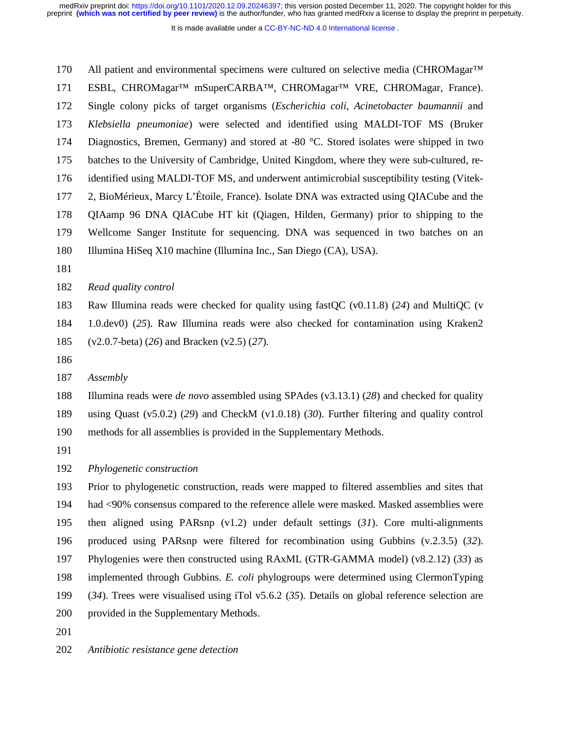It is made available under a [CC-BY-NC-ND 4.0 International license](http://creativecommons.org/licenses/by-nc-nd/4.0/) .

170 All patient and environmental specimens were cultured on selective media (CHROMagar™ 171 ESBL, CHROMagar™ mSuperCARBA™, CHROMagar™ VRE, CHROMagar, France). 172 Single colony picks of target organisms (*Escherichia coli*, *Acinetobacter baumannii* and 173 *Klebsiella pneumoniae*) were selected and identified using MALDI-TOF MS (Bruker 174 Diagnostics, Bremen, Germany) and stored at -80 °C. Stored isolates were shipped in two 175 batches to the University of Cambridge, United Kingdom, where they were sub-cultured, re-176 identified using MALDI-TOF MS, and underwent antimicrobial susceptibility testing (Vitek-177 2, BioMérieux, Marcy L'Étoile, France). Isolate DNA was extracted using QIACube and the 178 QIAamp 96 DNA QIACube HT kit (Qiagen, Hilden, Germany) prior to shipping to the 179 Wellcome Sanger Institute for sequencing. DNA was sequenced in two batches on an 180 Illumina HiSeq X10 machine (Illumina Inc., San Diego (CA), USA).

181

## 182 *Read quality control*

183 Raw Illumina reads were checked for quality using fastQC (v0.11.8) (*24*) and MultiQC (v

184 1.0.dev0) (*25*). Raw Illumina reads were also checked for contamination using Kraken2 185 (v2.0.7-beta) (*26*) and Bracken (v2.5) (*27*).

186

187 *Assembly* 

188 Illumina reads were *de novo* assembled using SPAdes (v3.13.1) (*28*) and checked for quality

189 using Quast (v5.0.2) (*29*) and CheckM (v1.0.18) (*30*). Further filtering and quality control

190 methods for all assemblies is provided in the Supplementary Methods.

191

192 *Phylogenetic construction* 

193 Prior to phylogenetic construction, reads were mapped to filtered assemblies and sites that 194 had <90% consensus compared to the reference allele were masked. Masked assemblies were 195 then aligned using PARsnp (v1.2) under default settings (*31*). Core multi-alignments 196 produced using PARsnp were filtered for recombination using Gubbins (v.2.3.5) (*32*). 197 Phylogenies were then constructed using RAxML (GTR-GAMMA model) (v8.2.12) (*33*) as 198 implemented through Gubbins. *E. coli* phylogroups were determined using ClermonTyping 199 (*34*). Trees were visualised using iTol v5.6.2 (*35*). Details on global reference selection are 200 provided in the Supplementary Methods. 201

202 *Antibiotic resistance gene detection*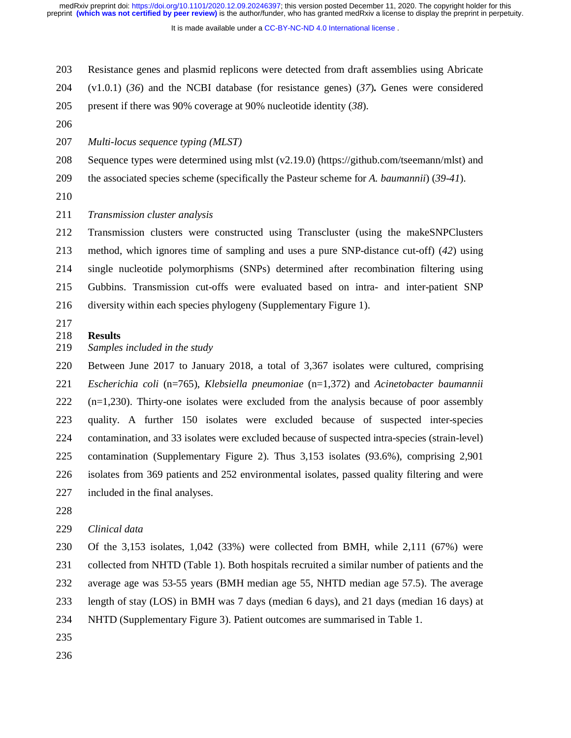It is made available under a [CC-BY-NC-ND 4.0 International license](http://creativecommons.org/licenses/by-nc-nd/4.0/) .

- 203 Resistance genes and plasmid replicons were detected from draft assemblies using Abricate
- 204 (v1.0.1) (*36*) and the NCBI database (for resistance genes) (*37*)**.** Genes were considered
- 205 present if there was 90% coverage at 90% nucleotide identity (*38*).
- 206
- 207 *Multi-locus sequence typing (MLST)*
- 208 Sequence types were determined using mlst (v2.19.0) (https://github.com/tseemann/mlst) and
- 209 the associated species scheme (specifically the Pasteur scheme for *A. baumannii*) (*39-41*).
- 210
- 211 *Transmission cluster analysis*

212 Transmission clusters were constructed using Transcluster (using the makeSNPClusters 213 method, which ignores time of sampling and uses a pure SNP-distance cut-off) (*42*) using 214 single nucleotide polymorphisms (SNPs) determined after recombination filtering using 215 Gubbins. Transmission cut-offs were evaluated based on intra- and inter-patient SNP 216 diversity within each species phylogeny (Supplementary Figure 1).

- 217
- 218 **Results**
- 219 *Samples included in the study*

220 Between June 2017 to January 2018, a total of 3,367 isolates were cultured, comprising 221 *Escherichia coli* (n=765), *Klebsiella pneumoniae* (n=1,372) and *Acinetobacter baumannii* 222 (n=1,230). Thirty-one isolates were excluded from the analysis because of poor assembly 223 quality. A further 150 isolates were excluded because of suspected inter-species 224 contamination, and 33 isolates were excluded because of suspected intra-species (strain-level) 225 contamination (Supplementary Figure 2). Thus 3,153 isolates (93.6%), comprising 2,901 226 isolates from 369 patients and 252 environmental isolates, passed quality filtering and were 227 included in the final analyses.

228

# 229 *Clinical data*

230 Of the 3,153 isolates, 1,042 (33%) were collected from BMH, while 2,111 (67%) were 231 collected from NHTD (Table 1). Both hospitals recruited a similar number of patients and the 232 average age was 53-55 years (BMH median age 55, NHTD median age 57.5). The average 233 length of stay (LOS) in BMH was 7 days (median 6 days), and 21 days (median 16 days) at

- 234 NHTD (Supplementary Figure 3). Patient outcomes are summarised in Table 1.
- 235
- 236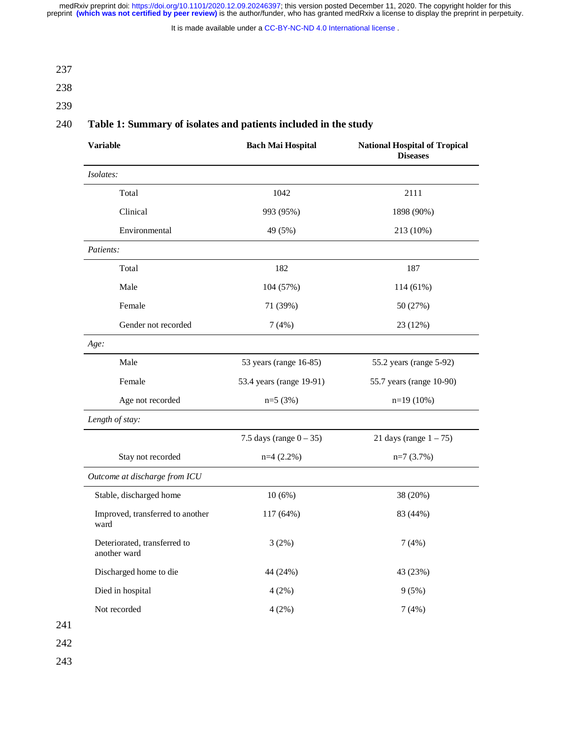It is made available under a [CC-BY-NC-ND 4.0 International license](http://creativecommons.org/licenses/by-nc-nd/4.0/) .

237

- 238
- 
- 239

# 240 **Table 1: Summary of isolates and patients included in the study**

| <b>Variable</b>                              | <b>Bach Mai Hospital</b>   | <b>National Hospital of Tropical</b><br><b>Diseases</b> |  |
|----------------------------------------------|----------------------------|---------------------------------------------------------|--|
| Isolates:                                    |                            |                                                         |  |
| Total                                        | 1042                       | 2111                                                    |  |
| Clinical                                     | 993 (95%)                  | 1898 (90%)                                              |  |
| Environmental                                | 49 (5%)                    | 213 (10%)                                               |  |
| Patients:                                    |                            |                                                         |  |
| Total                                        | 182                        | 187                                                     |  |
| Male                                         | 104 (57%)                  | 114 (61%)                                               |  |
| Female                                       | 71 (39%)                   | 50 (27%)                                                |  |
| Gender not recorded                          | 7(4%)                      | 23 (12%)                                                |  |
| Age:                                         |                            |                                                         |  |
| Male                                         | 53 years (range 16-85)     | 55.2 years (range 5-92)                                 |  |
| Female                                       | 53.4 years (range 19-91)   | 55.7 years (range 10-90)                                |  |
| Age not recorded                             | $n=5(3%)$                  | $n=19(10\%)$                                            |  |
| Length of stay:                              |                            |                                                         |  |
|                                              | 7.5 days (range $0 - 35$ ) | 21 days (range $1 - 75$ )                               |  |
| Stay not recorded                            | $n=4$ (2.2%)               | $n=7$ (3.7%)                                            |  |
| Outcome at discharge from ICU                |                            |                                                         |  |
| Stable, discharged home                      | 10(6%)                     | 38 (20%)                                                |  |
| Improved, transferred to another<br>ward     | 117 (64%)                  |                                                         |  |
| Deteriorated, transferred to<br>another ward | 3(2%)                      | 7(4%)                                                   |  |
| Discharged home to die                       | 44 (24%)                   | 43 (23%)                                                |  |
| Died in hospital                             | 4(2%)                      | 9(5%)                                                   |  |
| Not recorded                                 | 4(2%)                      | 7(4%)                                                   |  |

241 242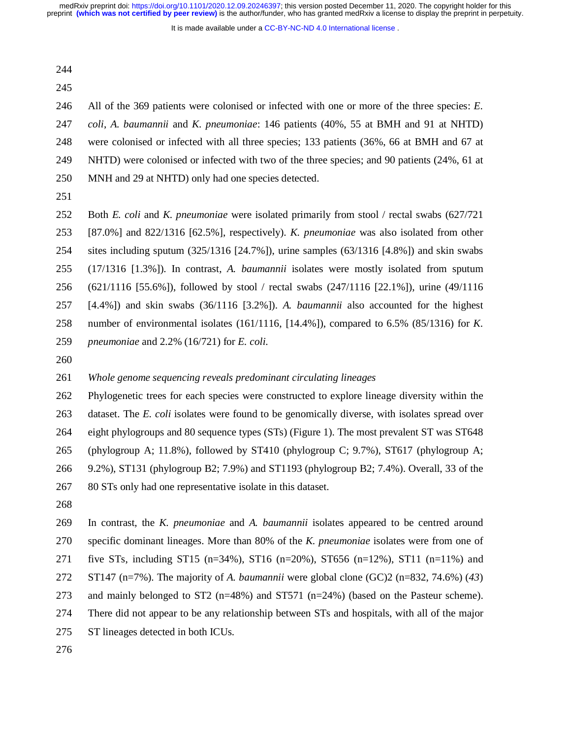It is made available under a CC-BY-NC-ND 4.0 International license.

- 244
- 245

246 All of the 369 patients were colonised or infected with one or more of the three species: *E.*  247 *coli*, *A. baumannii* and *K. pneumoniae*: 146 patients (40%, 55 at BMH and 91 at NHTD) 248 were colonised or infected with all three species; 133 patients (36%, 66 at BMH and 67 at 249 NHTD) were colonised or infected with two of the three species; and 90 patients (24%, 61 at 250 MNH and 29 at NHTD) only had one species detected.

251

252 Both *E. coli* and *K. pneumoniae* were isolated primarily from stool / rectal swabs (627/721 253 [87.0%] and 822/1316 [62.5%], respectively). *K. pneumoniae* was also isolated from other 254 sites including sputum (325/1316 [24.7%]), urine samples (63/1316 [4.8%]) and skin swabs 255 (17/1316 [1.3%]). In contrast, *A. baumannii* isolates were mostly isolated from sputum 256 (621/1116 [55.6%]), followed by stool / rectal swabs (247/1116 [22.1%]), urine (49/1116 257 [4.4%]) and skin swabs (36/1116 [3.2%]). *A. baumannii* also accounted for the highest 258 number of environmental isolates (161/1116, [14.4%]), compared to 6.5% (85/1316) for *K.*  259 *pneumoniae* and 2.2% (16/721) for *E. coli*.

260

# 261 *Whole genome sequencing reveals predominant circulating lineages*

262 Phylogenetic trees for each species were constructed to explore lineage diversity within the 263 dataset. The *E. coli* isolates were found to be genomically diverse, with isolates spread over 264 eight phylogroups and 80 sequence types (STs) (Figure 1). The most prevalent ST was ST648 265 (phylogroup A; 11.8%), followed by ST410 (phylogroup C; 9.7%), ST617 (phylogroup A; 266 9.2%), ST131 (phylogroup B2; 7.9%) and ST1193 (phylogroup B2; 7.4%). Overall, 33 of the 267 80 STs only had one representative isolate in this dataset.

268

269 In contrast, the *K. pneumoniae* and *A. baumannii* isolates appeared to be centred around 270 specific dominant lineages. More than 80% of the *K. pneumoniae* isolates were from one of 271 five STs, including ST15 (n=34%), ST16 (n=20%), ST656 (n=12%), ST11 (n=11%) and 272 ST147 (n=7%). The majority of *A. baumannii* were global clone (GC)2 (n=832, 74.6%) (*43*) 273 and mainly belonged to ST2 (n=48%) and ST571 (n=24%) (based on the Pasteur scheme). 274 There did not appear to be any relationship between STs and hospitals, with all of the major

275 ST lineages detected in both ICUs.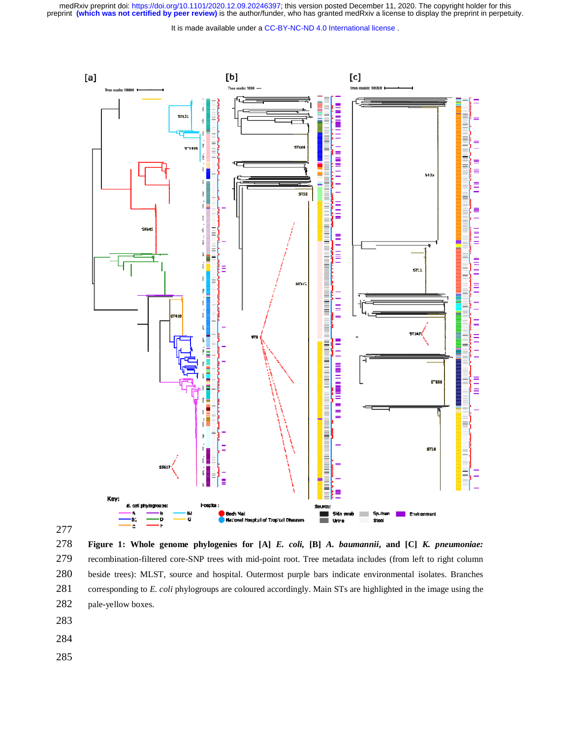It is made available under a [CC-BY-NC-ND 4.0 International license](http://creativecommons.org/licenses/by-nc-nd/4.0/) .





278 **Figure 1: Whole genome phylogenies for [A]** *E. coli,* **[B]** *A. baumannii***, and [C]** *K. pneumoniae:*  279 recombination-filtered core-SNP trees with mid-point root. Tree metadata includes (from left to right column 280 beside trees): MLST, source and hospital. Outermost purple bars indicate environmental isolates. Branches 281 corresponding to *E. coli* phylogroups are coloured accordingly. Main STs are highlighted in the image using the 282 pale-yellow boxes.

- 283
- 284
- 285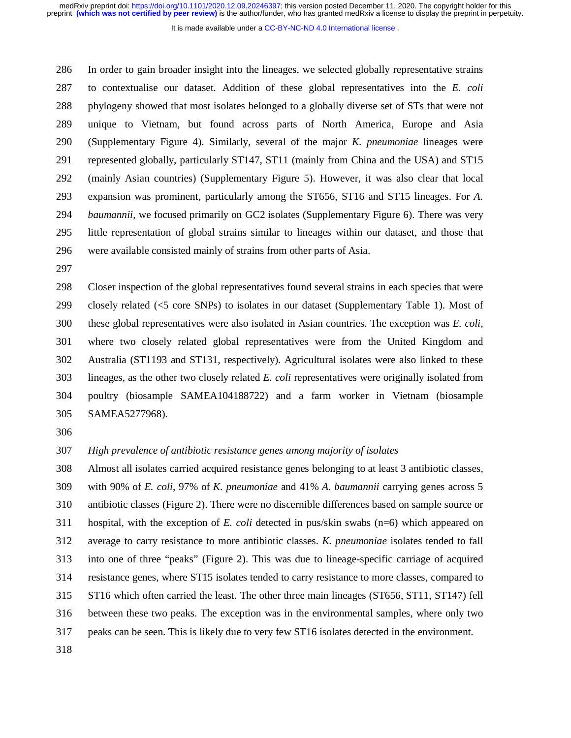It is made available under a CC-BY-NC-ND 4.0 International license.

286 In order to gain broader insight into the lineages, we selected globally representative strains 287 to contextualise our dataset. Addition of these global representatives into the *E. coli* 288 phylogeny showed that most isolates belonged to a globally diverse set of STs that were not 289 unique to Vietnam, but found across parts of North America, Europe and Asia 290 (Supplementary Figure 4). Similarly, several of the major *K. pneumoniae* lineages were 291 represented globally, particularly ST147, ST11 (mainly from China and the USA) and ST15 292 (mainly Asian countries) (Supplementary Figure 5). However, it was also clear that local 293 expansion was prominent, particularly among the ST656, ST16 and ST15 lineages. For *A.*  294 *baumannii*, we focused primarily on GC2 isolates (Supplementary Figure 6). There was very 295 little representation of global strains similar to lineages within our dataset, and those that 296 were available consisted mainly of strains from other parts of Asia.

297

298 Closer inspection of the global representatives found several strains in each species that were 299 closely related (<5 core SNPs) to isolates in our dataset (Supplementary Table 1). Most of 300 these global representatives were also isolated in Asian countries. The exception was *E. coli*, 301 where two closely related global representatives were from the United Kingdom and 302 Australia (ST1193 and ST131, respectively). Agricultural isolates were also linked to these 303 lineages, as the other two closely related *E. coli* representatives were originally isolated from 304 poultry (biosample SAMEA104188722) and a farm worker in Vietnam (biosample 305 SAMEA5277968).

306

## 307 *High prevalence of antibiotic resistance genes among majority of isolates*

308 Almost all isolates carried acquired resistance genes belonging to at least 3 antibiotic classes, 309 with 90% of *E. coli*, 97% of *K. pneumoniae* and 41% *A. baumannii* carrying genes across 5 310 antibiotic classes (Figure 2). There were no discernible differences based on sample source or 311 hospital, with the exception of *E. coli* detected in pus/skin swabs (n=6) which appeared on 312 average to carry resistance to more antibiotic classes. *K. pneumoniae* isolates tended to fall 313 into one of three "peaks" (Figure 2). This was due to lineage-specific carriage of acquired 314 resistance genes, where ST15 isolates tended to carry resistance to more classes, compared to 315 ST16 which often carried the least. The other three main lineages (ST656, ST11, ST147) fell 316 between these two peaks. The exception was in the environmental samples, where only two 317 peaks can be seen. This is likely due to very few ST16 isolates detected in the environment.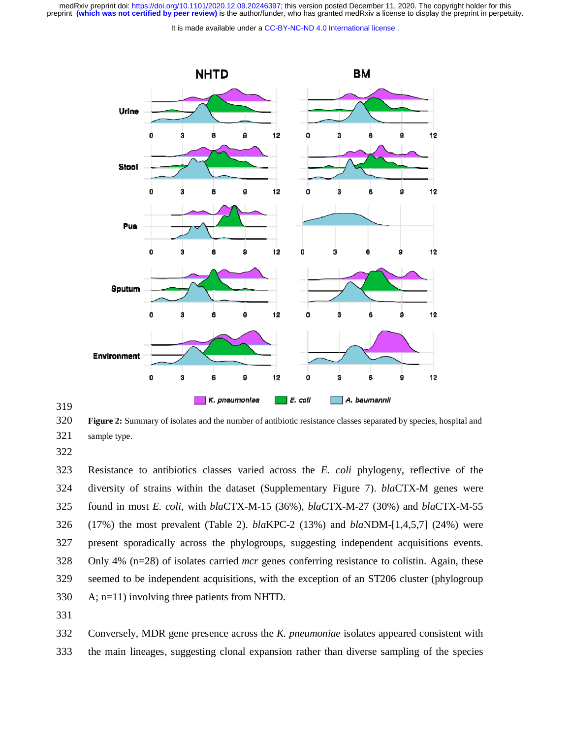It is made available under a CC-BY-NC-ND 4.0 International license.



319

320 **Figure 2:** Summary of isolates and the number of antibiotic resistance classes separated by species, hospital and 321 sample type.

322

323 Resistance to antibiotics classes varied across the *E. coli* phylogeny, reflective of the 324 diversity of strains within the dataset (Supplementary Figure 7). *bla*CTX-M genes were 325 found in most *E. coli*, with *bla*CTX-M-15 (36%), *bla*CTX-M-27 (30%) and *bla*CTX-M-55 326 (17%) the most prevalent (Table 2). *bla*KPC-2 (13%) and *bla*NDM-[1,4,5,7] (24%) were 327 present sporadically across the phylogroups, suggesting independent acquisitions events. 328 Only 4% (n=28) of isolates carried *mcr* genes conferring resistance to colistin. Again, these 329 seemed to be independent acquisitions, with the exception of an ST206 cluster (phylogroup 330 A; n=11) involving three patients from NHTD.

331

332 Conversely, MDR gene presence across the *K. pneumoniae* isolates appeared consistent with 333 the main lineages, suggesting clonal expansion rather than diverse sampling of the species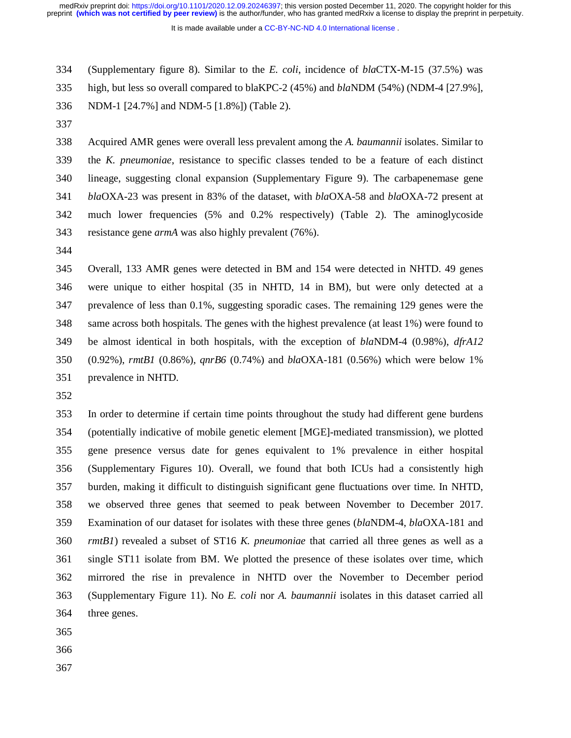It is made available under a [CC-BY-NC-ND 4.0 International license](http://creativecommons.org/licenses/by-nc-nd/4.0/) .

334 (Supplementary figure 8). Similar to the *E. coli*, incidence of *bla*CTX-M-15 (37.5%) was

335 high, but less so overall compared to blaKPC-2 (45%) and *bla*NDM (54%) (NDM-4 [27.9%],

- 336 NDM-1 [24.7%] and NDM-5 [1.8%]) (Table 2).
- 337

338 Acquired AMR genes were overall less prevalent among the *A. baumannii* isolates. Similar to 339 the *K. pneumoniae*, resistance to specific classes tended to be a feature of each distinct 340 lineage, suggesting clonal expansion (Supplementary Figure 9). The carbapenemase gene 341 *bla*OXA-23 was present in 83% of the dataset, with *bla*OXA-58 and *bla*OXA-72 present at 342 much lower frequencies (5% and 0.2% respectively) (Table 2). The aminoglycoside 343 resistance gene *armA* was also highly prevalent (76%).

344

345 Overall, 133 AMR genes were detected in BM and 154 were detected in NHTD. 49 genes 346 were unique to either hospital (35 in NHTD, 14 in BM), but were only detected at a 347 prevalence of less than 0.1%, suggesting sporadic cases. The remaining 129 genes were the 348 same across both hospitals. The genes with the highest prevalence (at least 1%) were found to 349 be almost identical in both hospitals, with the exception of *bla*NDM-4 (0.98%), *dfrA12* 350 (0.92%), *rmtB1* (0.86%), *qnrB6* (0.74%) and *bla*OXA-181 (0.56%) which were below 1% 351 prevalence in NHTD.

352

353 In order to determine if certain time points throughout the study had different gene burdens 354 (potentially indicative of mobile genetic element [MGE]-mediated transmission), we plotted 355 gene presence versus date for genes equivalent to 1% prevalence in either hospital 356 (Supplementary Figures 10). Overall, we found that both ICUs had a consistently high 357 burden, making it difficult to distinguish significant gene fluctuations over time. In NHTD, 358 we observed three genes that seemed to peak between November to December 2017. 359 Examination of our dataset for isolates with these three genes (*bla*NDM-4, *bla*OXA-181 and 360 *rmtB1*) revealed a subset of ST16 *K. pneumoniae* that carried all three genes as well as a 361 single ST11 isolate from BM. We plotted the presence of these isolates over time, which 362 mirrored the rise in prevalence in NHTD over the November to December period 363 (Supplementary Figure 11). No *E. coli* nor *A. baumannii* isolates in this dataset carried all 364 three genes.

- 365
- 366
- 367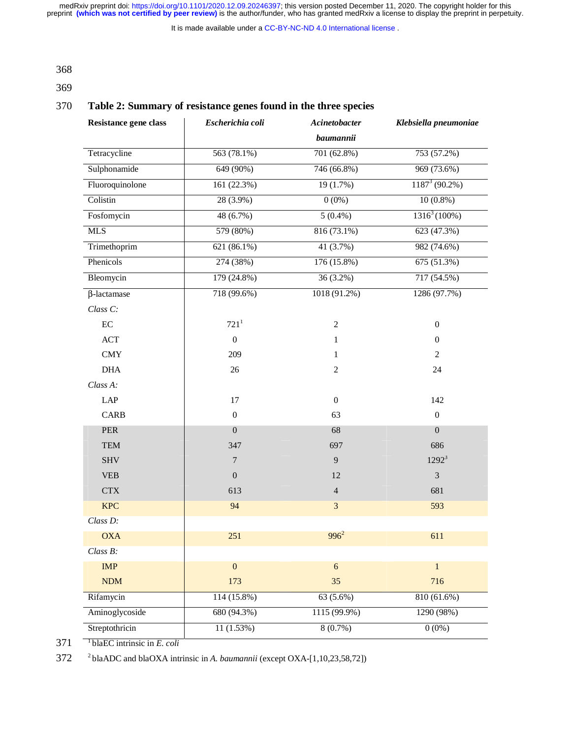It is made available under a [CC-BY-NC-ND 4.0 International license](http://creativecommons.org/licenses/by-nc-nd/4.0/) .

368

369

## 370 **Table 2: Summary of resistance genes found in the three species**

| Resistance gene class | Escherichia coli | Acinetobacter    | Klebsiella pneumoniae |
|-----------------------|------------------|------------------|-----------------------|
|                       |                  | <b>baumannii</b> |                       |
| Tetracycline          | 563 (78.1%)      | 701 (62.8%)      | 753 (57.2%)           |
| Sulphonamide          | 649 (90%)        | 746 (66.8%)      | 969 (73.6%)           |
| Fluoroquinolone       | 161 (22.3%)      | 19 (1.7%)        | $1187^3(90.2\%)$      |
| Colistin              | 28 (3.9%)        | $0(0\%)$         | $10(0.8\%)$           |
| Fosfomycin            | 48 (6.7%)        | $5(0.4\%)$       | $1316^3(100\%)$       |
| <b>MLS</b>            | 579 (80%)        | 816 (73.1%)      | 623 (47.3%)           |
| Trimethoprim          | 621 (86.1%)      | 41 (3.7%)        | 982 (74.6%)           |
| Phenicols             | 274 (38%)        | 176 (15.8%)      | 675 (51.3%)           |
| Bleomycin             | 179 (24.8%)      | 36 (3.2%)        | 717 (54.5%)           |
| $\beta$ -lactamase    | 718 (99.6%)      | 1018 (91.2%)     | 1286 (97.7%)          |
| Class C:              |                  |                  |                       |
| $\rm EC$              | 721 <sup>1</sup> | $\boldsymbol{2}$ | $\boldsymbol{0}$      |
| ACT                   | $\boldsymbol{0}$ | $\mathbf{1}$     | $\overline{0}$        |
| <b>CMY</b>            | 209              | $\mathbf{1}$     | $\overline{2}$        |
| <b>DHA</b>            | $26\,$           | $\overline{2}$   | 24                    |
| Class A:              |                  |                  |                       |
| LAP                   | 17               | $\mathbf{0}$     | 142                   |
| <b>CARB</b>           | $\boldsymbol{0}$ | 63               | $\boldsymbol{0}$      |
| <b>PER</b>            | $\boldsymbol{0}$ | 68               | $\boldsymbol{0}$      |
| <b>TEM</b>            | 347              | 697              | 686                   |
| <b>SHV</b>            | $\overline{7}$   | 9                | $1292^3$              |
| <b>VEB</b>            | $\overline{0}$   | 12               | $\mathfrak{Z}$        |
| <b>CTX</b>            | 613              | $\overline{4}$   | 681                   |
| <b>KPC</b>            | 94               | $\overline{3}$   | 593                   |
| Class D:              |                  |                  |                       |
| OXA                   | 251              | $996^2$          | 611                   |
| Class B:              |                  |                  |                       |
| IMP                   | $\overline{0}$   | 6                | $\mathbf{1}$          |
| <b>NDM</b>            | 173              | 35               | 716                   |
| Rifamycin             | 114 (15.8%)      | 63 (5.6%)        | 810 (61.6%)           |
| Aminoglycoside        | 680 (94.3%)      | 1115 (99.9%)     | 1290 (98%)            |
| Streptothricin        | 11(1.53%)        | 8(0.7%)          | $0(0\%)$              |

1 371 blaEC intrinsic in *E. coli* 

2 372 blaADC and blaOXA intrinsic in *A. baumannii* (except OXA-[1,10,23,58,72])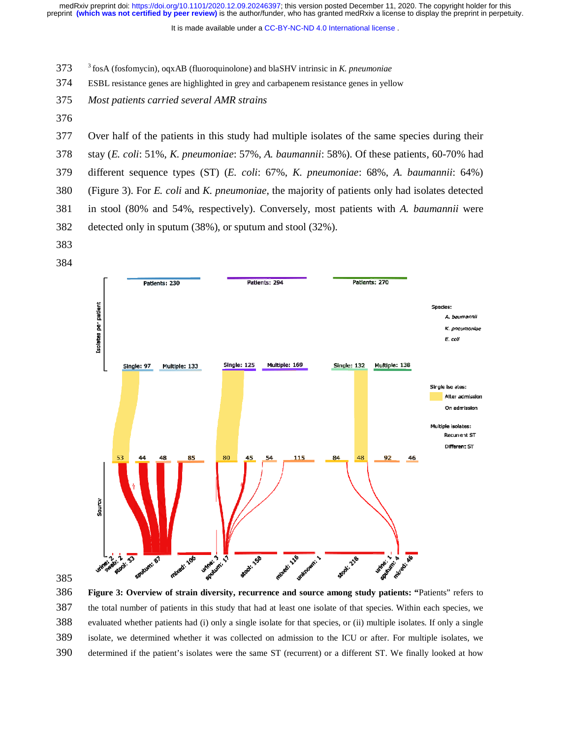It is made available under a CC-BY-NC-ND 4.0 International license.

- 3 373 fosA (fosfomycin), oqxAB (fluoroquinolone) and blaSHV intrinsic in *K. pneumoniae*
- 374 ESBL resistance genes are highlighted in grey and carbapenem resistance genes in yellow
- 375 *Most patients carried several AMR strains*
- 376
- 377 Over half of the patients in this study had multiple isolates of the same species during their
- 378 stay (*E. coli*: 51%, *K. pneumoniae*: 57%, *A. baumannii*: 58%). Of these patients, 60-70% had
- 379 different sequence types (ST) (*E. coli*: 67%, *K. pneumoniae*: 68%, *A. baumannii*: 64%)
- 380 (Figure 3). For *E. coli* and *K. pneumoniae*, the majority of patients only had isolates detected
- 381 in stool (80% and 54%, respectively). Conversely, most patients with *A. baumannii* were 382 detected only in sputum (38%), or sputum and stool (32%).
- 383





386 **Figure 3: Overview of strain diversity, recurrence and source among study patients: "**Patients" refers to 387 the total number of patients in this study that had at least one isolate of that species. Within each species, we 388 evaluated whether patients had (i) only a single isolate for that species, or (ii) multiple isolates. If only a single 389 isolate, we determined whether it was collected on admission to the ICU or after. For multiple isolates, we 390 determined if the patient's isolates were the same ST (recurrent) or a different ST. We finally looked at how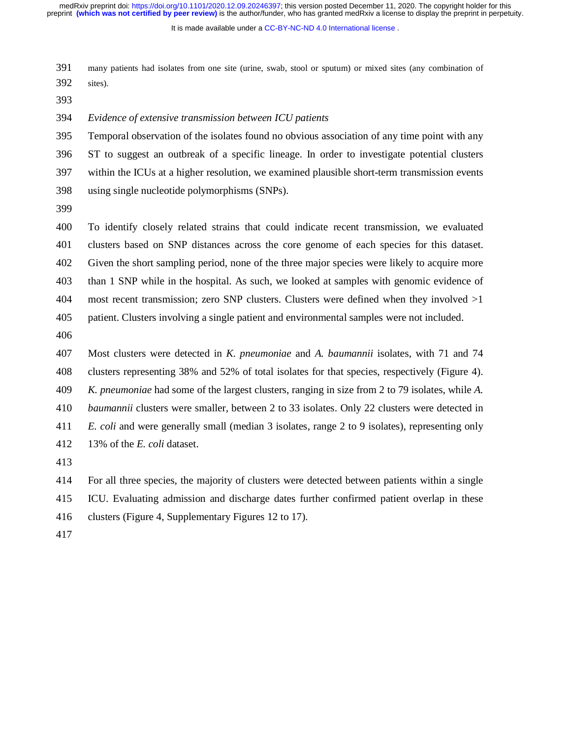It is made available under a [CC-BY-NC-ND 4.0 International license](http://creativecommons.org/licenses/by-nc-nd/4.0/) .

391 many patients had isolates from one site (urine, swab, stool or sputum) or mixed sites (any combination of 392 sites).

393

394 *Evidence of extensive transmission between ICU patients* 

395 Temporal observation of the isolates found no obvious association of any time point with any 396 ST to suggest an outbreak of a specific lineage. In order to investigate potential clusters 397 within the ICUs at a higher resolution, we examined plausible short-term transmission events 398 using single nucleotide polymorphisms (SNPs).

399

400 To identify closely related strains that could indicate recent transmission, we evaluated 401 clusters based on SNP distances across the core genome of each species for this dataset. 402 Given the short sampling period, none of the three major species were likely to acquire more 403 than 1 SNP while in the hospital. As such, we looked at samples with genomic evidence of 404 most recent transmission; zero SNP clusters. Clusters were defined when they involved  $>1$ 405 patient. Clusters involving a single patient and environmental samples were not included.

406

407 Most clusters were detected in *K. pneumoniae* and *A. baumannii* isolates, with 71 and 74 408 clusters representing 38% and 52% of total isolates for that species, respectively (Figure 4). 409 *K. pneumoniae* had some of the largest clusters, ranging in size from 2 to 79 isolates, while *A.*  410 *baumannii* clusters were smaller, between 2 to 33 isolates. Only 22 clusters were detected in 411 *E. coli* and were generally small (median 3 isolates, range 2 to 9 isolates), representing only 412 13% of the *E. coli* dataset.

413

414 For all three species, the majority of clusters were detected between patients within a single 415 ICU. Evaluating admission and discharge dates further confirmed patient overlap in these 416 clusters (Figure 4, Supplementary Figures 12 to 17).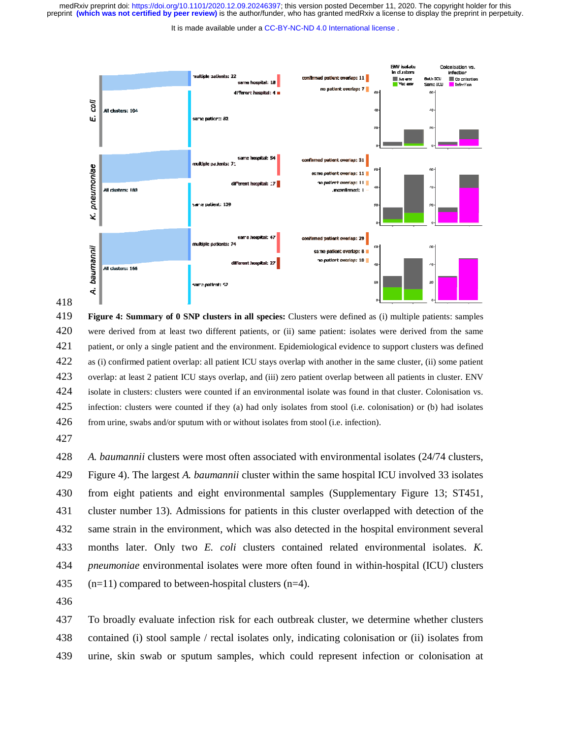It is made available under a CC-BY-NC-ND 4.0 International license.



418

419 **Figure 4: Summary of 0 SNP clusters in all species:** Clusters were defined as (i) multiple patients: samples 420 were derived from at least two different patients, or (ii) same patient: isolates were derived from the same 421 patient, or only a single patient and the environment. Epidemiological evidence to support clusters was defined 422 as (i) confirmed patient overlap: all patient ICU stays overlap with another in the same cluster, (ii) some patient 423 overlap: at least 2 patient ICU stays overlap, and (iii) zero patient overlap between all patients in cluster. ENV 424 isolate in clusters: clusters were counted if an environmental isolate was found in that cluster. Colonisation vs. 425 infection: clusters were counted if they (a) had only isolates from stool (i.e. colonisation) or (b) had isolates 426 from urine, swabs and/or sputum with or without isolates from stool (i.e. infection).

427

428 *A. baumannii* clusters were most often associated with environmental isolates (24/74 clusters, 429 Figure 4). The largest *A. baumannii* cluster within the same hospital ICU involved 33 isolates 430 from eight patients and eight environmental samples (Supplementary Figure 13; ST451, 431 cluster number 13). Admissions for patients in this cluster overlapped with detection of the 432 same strain in the environment, which was also detected in the hospital environment several 433 months later. Only two *E. coli* clusters contained related environmental isolates. *K.*  434 *pneumoniae* environmental isolates were more often found in within-hospital (ICU) clusters 435 (n=11) compared to between-hospital clusters (n=4).

436

437 To broadly evaluate infection risk for each outbreak cluster, we determine whether clusters 438 contained (i) stool sample / rectal isolates only, indicating colonisation or (ii) isolates from 439 urine, skin swab or sputum samples, which could represent infection or colonisation at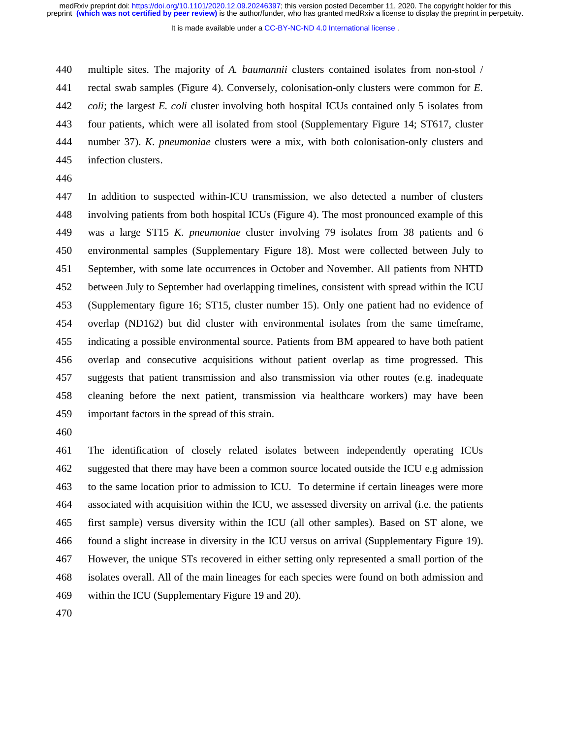It is made available under a CC-BY-NC-ND 4.0 International license.

440 multiple sites. The majority of *A. baumannii* clusters contained isolates from non-stool /

441 rectal swab samples (Figure 4). Conversely, colonisation-only clusters were common for *E.* 

442 *coli*; the largest *E. coli* cluster involving both hospital ICUs contained only 5 isolates from

443 four patients, which were all isolated from stool (Supplementary Figure 14; ST617, cluster

444 number 37). *K. pneumoniae* clusters were a mix, with both colonisation-only clusters and

- 445 infection clusters.
- 446

447 In addition to suspected within-ICU transmission, we also detected a number of clusters 448 involving patients from both hospital ICUs (Figure 4). The most pronounced example of this 449 was a large ST15 *K. pneumoniae* cluster involving 79 isolates from 38 patients and 6 450 environmental samples (Supplementary Figure 18). Most were collected between July to 451 September, with some late occurrences in October and November. All patients from NHTD 452 between July to September had overlapping timelines, consistent with spread within the ICU 453 (Supplementary figure 16; ST15, cluster number 15). Only one patient had no evidence of 454 overlap (ND162) but did cluster with environmental isolates from the same timeframe, 455 indicating a possible environmental source. Patients from BM appeared to have both patient 456 overlap and consecutive acquisitions without patient overlap as time progressed. This 457 suggests that patient transmission and also transmission via other routes (e.g. inadequate 458 cleaning before the next patient, transmission via healthcare workers) may have been 459 important factors in the spread of this strain.

460

461 The identification of closely related isolates between independently operating ICUs 462 suggested that there may have been a common source located outside the ICU e.g admission 463 to the same location prior to admission to ICU. To determine if certain lineages were more 464 associated with acquisition within the ICU, we assessed diversity on arrival (i.e. the patients 465 first sample) versus diversity within the ICU (all other samples). Based on ST alone, we 466 found a slight increase in diversity in the ICU versus on arrival (Supplementary Figure 19). 467 However, the unique STs recovered in either setting only represented a small portion of the 468 isolates overall. All of the main lineages for each species were found on both admission and 469 within the ICU (Supplementary Figure 19 and 20).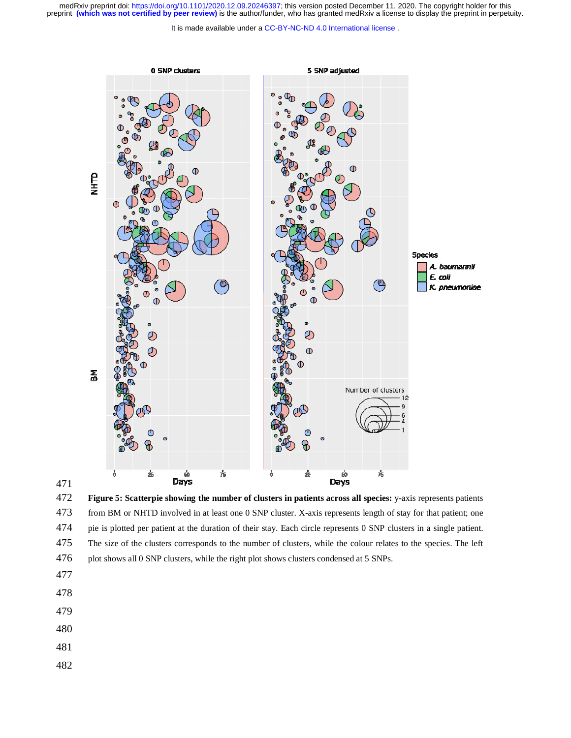It is made available under a [CC-BY-NC-ND 4.0 International license](http://creativecommons.org/licenses/by-nc-nd/4.0/) .



472 **Figure 5: Scatterpie showing the number of clusters in patients across all species:** y-axis represents patients 473 from BM or NHTD involved in at least one 0 SNP cluster. X-axis represents length of stay for that patient; one 474 pie is plotted per patient at the duration of their stay. Each circle represents 0 SNP clusters in a single patient. 475 The size of the clusters corresponds to the number of clusters, while the colour relates to the species. The left 476 plot shows all 0 SNP clusters, while the right plot shows clusters condensed at 5 SNPs.

477

- 478
- 479
- 480
- 481
- 482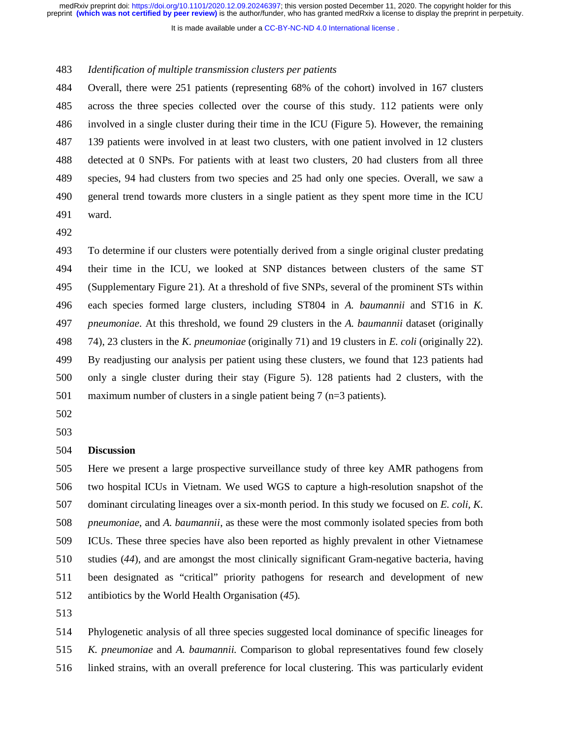It is made available under a CC-BY-NC-ND 4.0 International license.

### 483 *Identification of multiple transmission clusters per patients*

484 Overall, there were 251 patients (representing 68% of the cohort) involved in 167 clusters 485 across the three species collected over the course of this study. 112 patients were only 486 involved in a single cluster during their time in the ICU (Figure 5). However, the remaining 487 139 patients were involved in at least two clusters, with one patient involved in 12 clusters 488 detected at 0 SNPs. For patients with at least two clusters, 20 had clusters from all three 489 species, 94 had clusters from two species and 25 had only one species. Overall, we saw a 490 general trend towards more clusters in a single patient as they spent more time in the ICU 491 ward.

492

493 To determine if our clusters were potentially derived from a single original cluster predating 494 their time in the ICU, we looked at SNP distances between clusters of the same ST 495 (Supplementary Figure 21). At a threshold of five SNPs, several of the prominent STs within 496 each species formed large clusters, including ST804 in *A. baumannii* and ST16 in *K.*  497 *pneumoniae*. At this threshold, we found 29 clusters in the *A. baumannii* dataset (originally 498 74), 23 clusters in the *K. pneumoniae* (originally 71) and 19 clusters in *E. coli* (originally 22). 499 By readjusting our analysis per patient using these clusters, we found that 123 patients had 500 only a single cluster during their stay (Figure 5). 128 patients had 2 clusters, with the 501 maximum number of clusters in a single patient being 7 (n=3 patients).

502

503

#### 504 **Discussion**

505 Here we present a large prospective surveillance study of three key AMR pathogens from 506 two hospital ICUs in Vietnam. We used WGS to capture a high-resolution snapshot of the 507 dominant circulating lineages over a six-month period. In this study we focused on *E. coli, K.*  508 *pneumoniae*, and *A. baumannii*, as these were the most commonly isolated species from both 509 ICUs. These three species have also been reported as highly prevalent in other Vietnamese 510 studies (*44*), and are amongst the most clinically significant Gram-negative bacteria, having 511 been designated as "critical" priority pathogens for research and development of new 512 antibiotics by the World Health Organisation (*45*).

513

514 Phylogenetic analysis of all three species suggested local dominance of specific lineages for 515 *K. pneumoniae* and *A. baumannii*. Comparison to global representatives found few closely 516 linked strains, with an overall preference for local clustering. This was particularly evident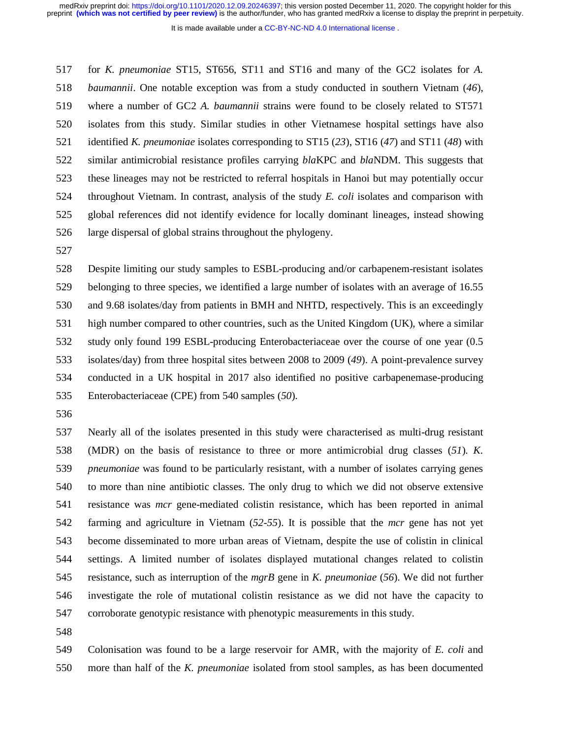It is made available under a [CC-BY-NC-ND 4.0 International license](http://creativecommons.org/licenses/by-nc-nd/4.0/) .

517 for *K. pneumoniae* ST15, ST656, ST11 and ST16 and many of the GC2 isolates for *A.*  518 *baumannii*. One notable exception was from a study conducted in southern Vietnam (*46*), 519 where a number of GC2 *A. baumannii* strains were found to be closely related to ST571 520 isolates from this study. Similar studies in other Vietnamese hospital settings have also 521 identified *K. pneumoniae* isolates corresponding to ST15 (*23*), ST16 (*47*) and ST11 (*48*) with 522 similar antimicrobial resistance profiles carrying *bla*KPC and *bla*NDM. This suggests that 523 these lineages may not be restricted to referral hospitals in Hanoi but may potentially occur 524 throughout Vietnam. In contrast, analysis of the study *E. coli* isolates and comparison with 525 global references did not identify evidence for locally dominant lineages, instead showing 526 large dispersal of global strains throughout the phylogeny.

527

528 Despite limiting our study samples to ESBL-producing and/or carbapenem-resistant isolates 529 belonging to three species, we identified a large number of isolates with an average of 16.55 530 and 9.68 isolates/day from patients in BMH and NHTD, respectively. This is an exceedingly 531 high number compared to other countries, such as the United Kingdom (UK), where a similar 532 study only found 199 ESBL-producing Enterobacteriaceae over the course of one year (0.5 533 isolates/day) from three hospital sites between 2008 to 2009 (*49*). A point-prevalence survey 534 conducted in a UK hospital in 2017 also identified no positive carbapenemase-producing 535 Enterobacteriaceae (CPE) from 540 samples (*50*).

536

537 Nearly all of the isolates presented in this study were characterised as multi-drug resistant 538 (MDR) on the basis of resistance to three or more antimicrobial drug classes (*51*). *K.*  539 *pneumoniae* was found to be particularly resistant, with a number of isolates carrying genes 540 to more than nine antibiotic classes. The only drug to which we did not observe extensive 541 resistance was *mcr* gene-mediated colistin resistance, which has been reported in animal 542 farming and agriculture in Vietnam (*52-55*). It is possible that the *mcr* gene has not yet 543 become disseminated to more urban areas of Vietnam, despite the use of colistin in clinical 544 settings. A limited number of isolates displayed mutational changes related to colistin 545 resistance, such as interruption of the *mgrB* gene in *K. pneumoniae* (*56*). We did not further 546 investigate the role of mutational colistin resistance as we did not have the capacity to 547 corroborate genotypic resistance with phenotypic measurements in this study.

548

549 Colonisation was found to be a large reservoir for AMR, with the majority of *E. coli* and 550 more than half of the *K. pneumoniae* isolated from stool samples, as has been documented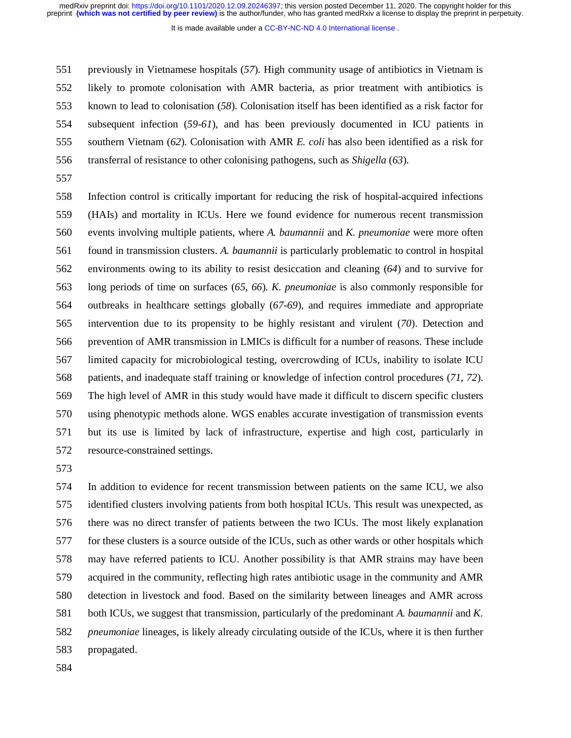It is made available under a [CC-BY-NC-ND 4.0 International license](http://creativecommons.org/licenses/by-nc-nd/4.0/) .

551 previously in Vietnamese hospitals (*57*). High community usage of antibiotics in Vietnam is 552 likely to promote colonisation with AMR bacteria, as prior treatment with antibiotics is 553 known to lead to colonisation (*58*). Colonisation itself has been identified as a risk factor for 554 subsequent infection (*59-61*), and has been previously documented in ICU patients in 555 southern Vietnam (*62*). Colonisation with AMR *E. coli* has also been identified as a risk for 556 transferral of resistance to other colonising pathogens, such as *Shigella* (*63*).

557

558 Infection control is critically important for reducing the risk of hospital-acquired infections 559 (HAIs) and mortality in ICUs. Here we found evidence for numerous recent transmission 560 events involving multiple patients, where *A. baumannii* and *K. pneumoniae* were more often 561 found in transmission clusters. *A. baumannii* is particularly problematic to control in hospital 562 environments owing to its ability to resist desiccation and cleaning (*64*) and to survive for 563 long periods of time on surfaces (*65, 66*). *K. pneumoniae* is also commonly responsible for 564 outbreaks in healthcare settings globally (*67-69*), and requires immediate and appropriate 565 intervention due to its propensity to be highly resistant and virulent (*70*). Detection and 566 prevention of AMR transmission in LMICs is difficult for a number of reasons. These include 567 limited capacity for microbiological testing, overcrowding of ICUs, inability to isolate ICU 568 patients, and inadequate staff training or knowledge of infection control procedures (*71, 72*). 569 The high level of AMR in this study would have made it difficult to discern specific clusters 570 using phenotypic methods alone. WGS enables accurate investigation of transmission events 571 but its use is limited by lack of infrastructure, expertise and high cost, particularly in 572 resource-constrained settings.

573

574 In addition to evidence for recent transmission between patients on the same ICU, we also 575 identified clusters involving patients from both hospital ICUs. This result was unexpected, as 576 there was no direct transfer of patients between the two ICUs. The most likely explanation 577 for these clusters is a source outside of the ICUs, such as other wards or other hospitals which 578 may have referred patients to ICU. Another possibility is that AMR strains may have been 579 acquired in the community, reflecting high rates antibiotic usage in the community and AMR 580 detection in livestock and food. Based on the similarity between lineages and AMR across 581 both ICUs, we suggest that transmission, particularly of the predominant *A. baumannii* and *K.*  582 *pneumoniae* lineages, is likely already circulating outside of the ICUs, where it is then further 583 propagated.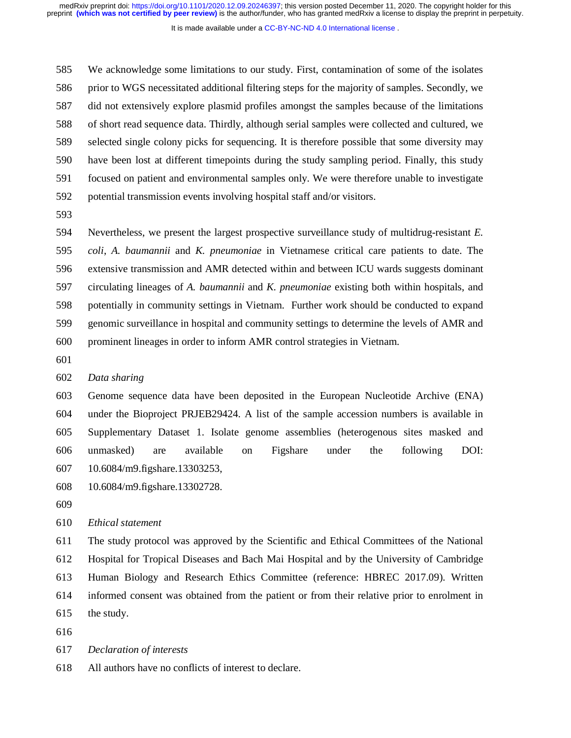It is made available under a [CC-BY-NC-ND 4.0 International license](http://creativecommons.org/licenses/by-nc-nd/4.0/) .

585 We acknowledge some limitations to our study. First, contamination of some of the isolates 586 prior to WGS necessitated additional filtering steps for the majority of samples. Secondly, we 587 did not extensively explore plasmid profiles amongst the samples because of the limitations 588 of short read sequence data. Thirdly, although serial samples were collected and cultured, we 589 selected single colony picks for sequencing. It is therefore possible that some diversity may 590 have been lost at different timepoints during the study sampling period. Finally, this study 591 focused on patient and environmental samples only. We were therefore unable to investigate 592 potential transmission events involving hospital staff and/or visitors.

593

594 Nevertheless, we present the largest prospective surveillance study of multidrug-resistant *E.*  595 *coli*, *A. baumannii* and *K. pneumoniae* in Vietnamese critical care patients to date. The 596 extensive transmission and AMR detected within and between ICU wards suggests dominant 597 circulating lineages of *A. baumannii* and *K. pneumoniae* existing both within hospitals, and 598 potentially in community settings in Vietnam. Further work should be conducted to expand 599 genomic surveillance in hospital and community settings to determine the levels of AMR and 600 prominent lineages in order to inform AMR control strategies in Vietnam.

601

602 *Data sharing* 

603 Genome sequence data have been deposited in the European Nucleotide Archive (ENA) 604 under the Bioproject PRJEB29424. A list of the sample accession numbers is available in 605 Supplementary Dataset 1. Isolate genome assemblies (heterogenous sites masked and 606 unmasked) are available on Figshare under the following DOI: 607 10.6084/m9.figshare.13303253,

- 608 10.6084/m9.figshare.13302728.
- 609

610 *Ethical statement* 

611 The study protocol was approved by the Scientific and Ethical Committees of the National 612 Hospital for Tropical Diseases and Bach Mai Hospital and by the University of Cambridge 613 Human Biology and Research Ethics Committee (reference: HBREC 2017.09). Written 614 informed consent was obtained from the patient or from their relative prior to enrolment in 615 the study.

616

617 *Declaration of interests* 

618 All authors have no conflicts of interest to declare.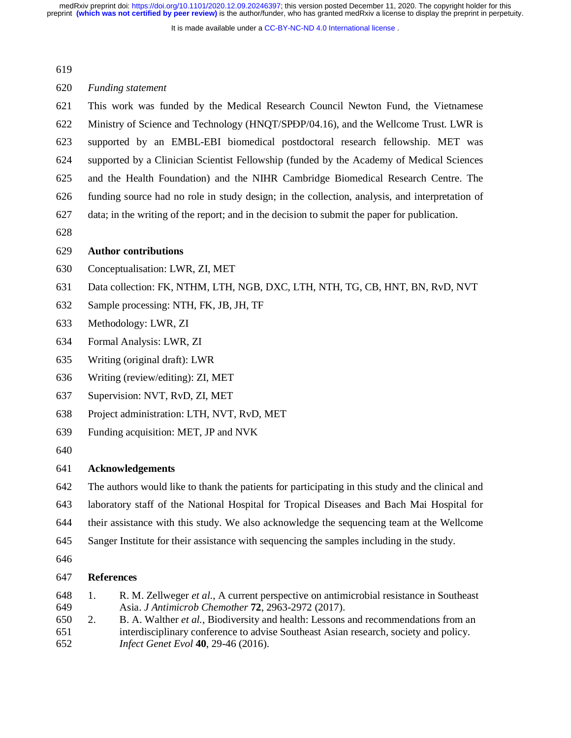It is made available under a [CC-BY-NC-ND 4.0 International license](http://creativecommons.org/licenses/by-nc-nd/4.0/) .

### 620 *Funding statement*

621 This work was funded by the Medical Research Council Newton Fund, the Vietnamese 622 Ministry of Science and Technology (HNQT/SPĐP/04.16), and the Wellcome Trust. LWR is<br>623 supported by an EMBL-EBI biomedical postdoctoral research fellowship. MET was supported by an EMBL-EBI biomedical postdoctoral research fellowship. MET was 624 supported by a Clinician Scientist Fellowship (funded by the Academy of Medical Sciences 625 and the Health Foundation) and the NIHR Cambridge Biomedical Research Centre. The 626 funding source had no role in study design; in the collection, analysis, and interpretation of 627 data; in the writing of the report; and in the decision to submit the paper for publication.

628

## 629 **Author contributions**

- 630 Conceptualisation: LWR, ZI, MET
- 631 Data collection: FK, NTHM, LTH, NGB, DXC, LTH, NTH, TG, CB, HNT, BN, RvD, NVT
- 632 Sample processing: NTH, FK, JB, JH, TF
- 633 Methodology: LWR, ZI
- 634 Formal Analysis: LWR, ZI
- 635 Writing (original draft): LWR
- 636 Writing (review/editing): ZI, MET
- 637 Supervision: NVT, RvD, ZI, MET
- 638 Project administration: LTH, NVT, RvD, MET
- 639 Funding acquisition: MET, JP and NVK
- 640

# 641 **Acknowledgements**

- 642 The authors would like to thank the patients for participating in this study and the clinical and
- 643 laboratory staff of the National Hospital for Tropical Diseases and Bach Mai Hospital for
- 644 their assistance with this study. We also acknowledge the sequencing team at the Wellcome
- 645 Sanger Institute for their assistance with sequencing the samples including in the study.
- 646

## 647 **References**

- 648 1. R. M. Zellweger *et al.*, A current perspective on antimicrobial resistance in Southeast 649 Asia. *J Antimicrob Chemother* **72**, 2963-2972 (2017).
- 650 2. B. A. Walther *et al.*, Biodiversity and health: Lessons and recommendations from an 651 interdisciplinary conference to advise Southeast Asian research, society and policy. 652 *Infect Genet Evol* **40**, 29-46 (2016).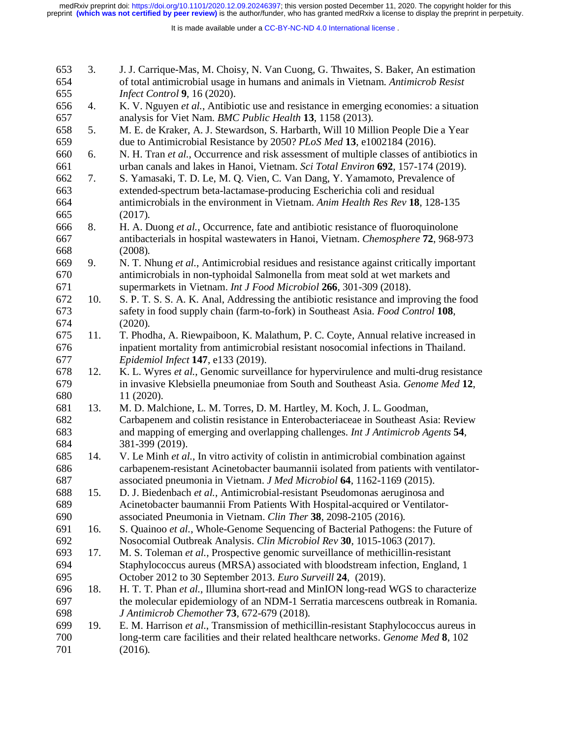| 653        | 3.  | J. J. Carrique-Mas, M. Choisy, N. Van Cuong, G. Thwaites, S. Baker, An estimation             |
|------------|-----|-----------------------------------------------------------------------------------------------|
| 654        |     | of total antimicrobial usage in humans and animals in Vietnam. Antimicrob Resist              |
| 655        |     | Infect Control 9, 16 (2020).                                                                  |
| 656        | 4.  | K. V. Nguyen et al., Antibiotic use and resistance in emerging economies: a situation         |
| 657        |     | analysis for Viet Nam. BMC Public Health 13, 1158 (2013).                                     |
| 658        | 5.  | M. E. de Kraker, A. J. Stewardson, S. Harbarth, Will 10 Million People Die a Year             |
| 659        |     | due to Antimicrobial Resistance by 2050? PLoS Med 13, e1002184 (2016).                        |
| 660        | 6.  | N. H. Tran et al., Occurrence and risk assessment of multiple classes of antibiotics in       |
| 661        |     | urban canals and lakes in Hanoi, Vietnam. Sci Total Environ 692, 157-174 (2019).              |
| 662        | 7.  | S. Yamasaki, T. D. Le, M. Q. Vien, C. Van Dang, Y. Yamamoto, Prevalence of                    |
| 663        |     | extended-spectrum beta-lactamase-producing Escherichia coli and residual                      |
| 664        |     | antimicrobials in the environment in Vietnam. Anim Health Res Rev 18, 128-135                 |
| 665        |     | (2017).                                                                                       |
| 666        | 8.  | H. A. Duong et al., Occurrence, fate and antibiotic resistance of fluoroquinolone             |
| 667        |     | antibacterials in hospital wastewaters in Hanoi, Vietnam. Chemosphere 72, 968-973             |
| 668        |     | (2008).                                                                                       |
| 669        | 9.  | N. T. Nhung et al., Antimicrobial residues and resistance against critically important        |
| 670        |     | antimicrobials in non-typhoidal Salmonella from meat sold at wet markets and                  |
| 671        |     | supermarkets in Vietnam. Int J Food Microbiol 266, 301-309 (2018).                            |
| 672        | 10. | S. P. T. S. S. A. K. Anal, Addressing the antibiotic resistance and improving the food        |
| 673        |     | safety in food supply chain (farm-to-fork) in Southeast Asia. Food Control 108,               |
| 674        |     | (2020).                                                                                       |
| 675        | 11. | T. Phodha, A. Riewpaiboon, K. Malathum, P. C. Coyte, Annual relative increased in             |
| 676        |     | inpatient mortality from antimicrobial resistant nosocomial infections in Thailand.           |
|            |     |                                                                                               |
| 677        |     | Epidemiol Infect 147, e133 (2019).                                                            |
| 678        | 12. | K. L. Wyres et al., Genomic surveillance for hypervirulence and multi-drug resistance         |
| 679        |     | in invasive Klebsiella pneumoniae from South and Southeast Asia. Genome Med 12,               |
| 680        |     | 11 (2020).                                                                                    |
| 681        | 13. | M. D. Malchione, L. M. Torres, D. M. Hartley, M. Koch, J. L. Goodman,                         |
| 682        |     | Carbapenem and colistin resistance in Enterobacteriaceae in Southeast Asia: Review            |
| 683        |     | and mapping of emerging and overlapping challenges. Int J Antimicrob Agents 54,               |
| 684        |     | 381-399 (2019).                                                                               |
| 685        | 14. | V. Le Minh et al., In vitro activity of colistin in antimicrobial combination against         |
| 686        |     | carbapenem-resistant Acinetobacter baumannii isolated from patients with ventilator-          |
| 687        |     | associated pneumonia in Vietnam. J Med Microbiol 64, 1162-1169 (2015).                        |
| 688        | 15. | D. J. Biedenbach et al., Antimicrobial-resistant Pseudomonas aeruginosa and                   |
| 689        |     | Acinetobacter baumannii From Patients With Hospital-acquired or Ventilator-                   |
| 690        |     | associated Pneumonia in Vietnam. Clin Ther 38, 2098-2105 (2016).                              |
| 691        | 16. | S. Quainoo et al., Whole-Genome Sequencing of Bacterial Pathogens: the Future of              |
| 692        |     | Nosocomial Outbreak Analysis. Clin Microbiol Rev 30, 1015-1063 (2017).                        |
| 693        | 17. | M. S. Toleman et al., Prospective genomic surveillance of methicillin-resistant               |
| 694        |     | Staphylococcus aureus (MRSA) associated with bloodstream infection, England, 1                |
| 695        |     | October 2012 to 30 September 2013. Euro Surveill 24, (2019).                                  |
| 696        | 18. | H. T. T. Phan et al., Illumina short-read and MinION long-read WGS to characterize            |
| 697        |     | the molecular epidemiology of an NDM-1 Serratia marcescens outbreak in Romania.               |
| 698        |     | J Antimicrob Chemother 73, 672-679 (2018).                                                    |
| 699        | 19. | E. M. Harrison et al., Transmission of methicillin-resistant Staphylococcus aureus in         |
| 700<br>701 |     | long-term care facilities and their related healthcare networks. Genome Med 8, 102<br>(2016). |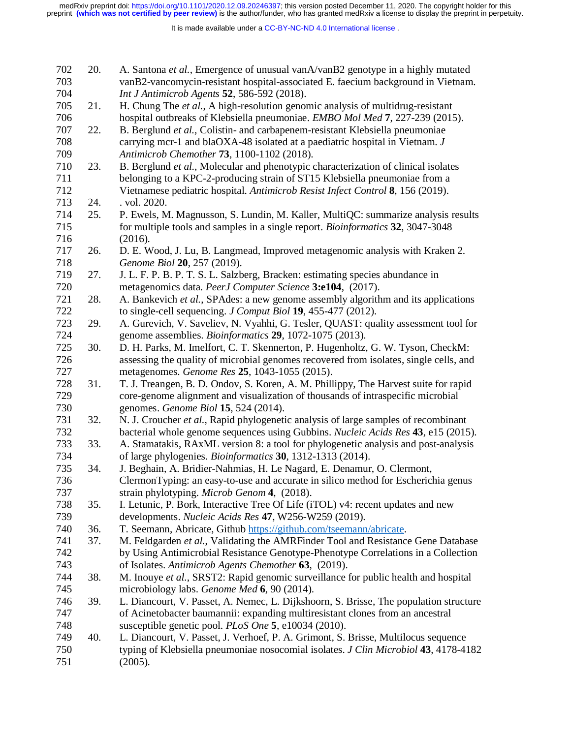It is made available under a [CC-BY-NC-ND 4.0 International license](http://creativecommons.org/licenses/by-nc-nd/4.0/) .

| 702<br>703 | 20. | A. Santona et al., Emergence of unusual vanA/vanB2 genotype in a highly mutated<br>vanB2-vancomycin-resistant hospital-associated E. faecium background in Vietnam. |
|------------|-----|---------------------------------------------------------------------------------------------------------------------------------------------------------------------|
| 704        |     | Int J Antimicrob Agents 52, 586-592 (2018).                                                                                                                         |
| 705        | 21. | H. Chung The et al., A high-resolution genomic analysis of multidrug-resistant                                                                                      |
| 706        |     | hospital outbreaks of Klebsiella pneumoniae. EMBO Mol Med 7, 227-239 (2015).                                                                                        |
| 707        | 22. | B. Berglund et al., Colistin- and carbapenem-resistant Klebsiella pneumoniae                                                                                        |
| 708        |     | carrying mcr-1 and blaOXA-48 isolated at a paediatric hospital in Vietnam. J                                                                                        |
| 709        |     | Antimicrob Chemother 73, 1100-1102 (2018).                                                                                                                          |
| 710        | 23. | B. Berglund et al., Molecular and phenotypic characterization of clinical isolates                                                                                  |
| 711        |     | belonging to a KPC-2-producing strain of ST15 Klebsiella pneumoniae from a                                                                                          |
| 712        |     | Vietnamese pediatric hospital. Antimicrob Resist Infect Control 8, 156 (2019).                                                                                      |
| 713        | 24. | . vol. 2020.                                                                                                                                                        |
| 714        | 25. | P. Ewels, M. Magnusson, S. Lundin, M. Kaller, MultiQC: summarize analysis results                                                                                   |
| 715        |     | for multiple tools and samples in a single report. Bioinformatics 32, 3047-3048                                                                                     |
| 716        |     | (2016).                                                                                                                                                             |
| 717        | 26. | D. E. Wood, J. Lu, B. Langmead, Improved metagenomic analysis with Kraken 2.                                                                                        |
| 718        |     | Genome Biol 20, 257 (2019).                                                                                                                                         |
| 719        | 27. | J. L. F. P. B. P. T. S. L. Salzberg, Bracken: estimating species abundance in                                                                                       |
| 720        |     | metagenomics data. PeerJ Computer Science 3:e104, (2017).                                                                                                           |
| 721        | 28. | A. Bankevich et al., SPAdes: a new genome assembly algorithm and its applications                                                                                   |
| 722        |     | to single-cell sequencing. <i>J Comput Biol</i> 19, 455-477 (2012).                                                                                                 |
| 723        | 29. | A. Gurevich, V. Saveliev, N. Vyahhi, G. Tesler, QUAST: quality assessment tool for                                                                                  |
| 724        |     | genome assemblies. Bioinformatics 29, 1072-1075 (2013).                                                                                                             |
| 725        | 30. | D. H. Parks, M. Imelfort, C. T. Skennerton, P. Hugenholtz, G. W. Tyson, CheckM:                                                                                     |
| 726        |     | assessing the quality of microbial genomes recovered from isolates, single cells, and                                                                               |
| 727        |     | metagenomes. Genome Res 25, 1043-1055 (2015).                                                                                                                       |
| 728        | 31. | T. J. Treangen, B. D. Ondov, S. Koren, A. M. Phillippy, The Harvest suite for rapid                                                                                 |
| 729        |     | core-genome alignment and visualization of thousands of intraspecific microbial                                                                                     |
| 730        |     | genomes. Genome Biol 15, 524 (2014).                                                                                                                                |
| 731        | 32. | N. J. Croucher et al., Rapid phylogenetic analysis of large samples of recombinant                                                                                  |
| 732        |     | bacterial whole genome sequences using Gubbins. Nucleic Acids Res 43, e15 (2015).                                                                                   |
| 733        | 33. | A. Stamatakis, RAxML version 8: a tool for phylogenetic analysis and post-analysis                                                                                  |
| 734        |     | of large phylogenies. Bioinformatics 30, 1312-1313 (2014).                                                                                                          |
| 735        | 34. | J. Beghain, A. Bridier-Nahmias, H. Le Nagard, E. Denamur, O. Clermont,                                                                                              |
| 736        |     | ClermonTyping: an easy-to-use and accurate in silico method for Escherichia genus                                                                                   |
| 737        |     | strain phylotyping. Microb Genom 4, (2018).                                                                                                                         |
| 738        | 35. | I. Letunic, P. Bork, Interactive Tree Of Life (iTOL) v4: recent updates and new                                                                                     |
| 739        |     | developments. Nucleic Acids Res 47, W256-W259 (2019).                                                                                                               |
| 740        | 36. | T. Seemann, Abricate, Github https://github.com/tseemann/abricate.                                                                                                  |
| 741        | 37. | M. Feldgarden et al., Validating the AMRFinder Tool and Resistance Gene Database                                                                                    |
| 742        |     | by Using Antimicrobial Resistance Genotype-Phenotype Correlations in a Collection                                                                                   |
| 743        |     | of Isolates. Antimicrob Agents Chemother 63, (2019).                                                                                                                |
| 744        | 38. | M. Inouye et al., SRST2: Rapid genomic surveillance for public health and hospital                                                                                  |
| 745        |     | microbiology labs. Genome Med 6, 90 (2014).                                                                                                                         |
| 746        | 39. | L. Diancourt, V. Passet, A. Nemec, L. Dijkshoorn, S. Brisse, The population structure                                                                               |
| 747        |     | of Acinetobacter baumannii: expanding multiresistant clones from an ancestral                                                                                       |
| 748        |     | susceptible genetic pool. PLoS One 5, e10034 (2010).                                                                                                                |
| 749        | 40. | L. Diancourt, V. Passet, J. Verhoef, P. A. Grimont, S. Brisse, Multilocus sequence                                                                                  |
| 750        |     | typing of Klebsiella pneumoniae nosocomial isolates. J Clin Microbiol 43, 4178-4182                                                                                 |
| 751        |     | (2005).                                                                                                                                                             |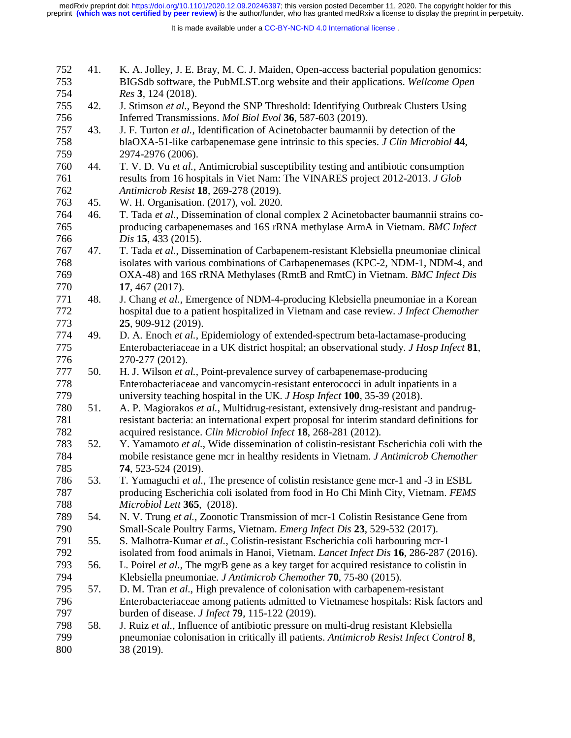| 752        | 41. | K. A. Jolley, J. E. Bray, M. C. J. Maiden, Open-access bacterial population genomics:                                                                                          |
|------------|-----|--------------------------------------------------------------------------------------------------------------------------------------------------------------------------------|
| 753        |     | BIGSdb software, the PubMLST.org website and their applications. Wellcome Open                                                                                                 |
| 754        |     | Res 3, 124 (2018).                                                                                                                                                             |
| 755        | 42. | J. Stimson et al., Beyond the SNP Threshold: Identifying Outbreak Clusters Using                                                                                               |
| 756        |     | Inferred Transmissions. Mol Biol Evol 36, 587-603 (2019).                                                                                                                      |
| 757        | 43. | J. F. Turton et al., Identification of Acinetobacter baumannii by detection of the                                                                                             |
| 758        |     | blaOXA-51-like carbapenemase gene intrinsic to this species. J Clin Microbiol 44,                                                                                              |
| 759        |     | 2974-2976 (2006).                                                                                                                                                              |
| 760        | 44. | T. V. D. Vu et al., Antimicrobial susceptibility testing and antibiotic consumption                                                                                            |
| 761        |     | results from 16 hospitals in Viet Nam: The VINARES project 2012-2013. J Glob                                                                                                   |
| 762        |     | Antimicrob Resist 18, 269-278 (2019).                                                                                                                                          |
| 763        | 45. | W. H. Organisation. (2017), vol. 2020.                                                                                                                                         |
| 764        | 46. | T. Tada et al., Dissemination of clonal complex 2 Acinetobacter baumannii strains co-                                                                                          |
| 765        |     | producing carbapenemases and 16S rRNA methylase ArmA in Vietnam. BMC Infect                                                                                                    |
| 766        |     | Dis 15, 433 (2015).                                                                                                                                                            |
| 767        | 47. | T. Tada et al., Dissemination of Carbapenem-resistant Klebsiella pneumoniae clinical                                                                                           |
| 768        |     | isolates with various combinations of Carbapenemases (KPC-2, NDM-1, NDM-4, and                                                                                                 |
| 769        |     | OXA-48) and 16S rRNA Methylases (RmtB and RmtC) in Vietnam. BMC Infect Dis                                                                                                     |
| 770        |     | 17, 467 (2017).                                                                                                                                                                |
| 771        | 48. | J. Chang et al., Emergence of NDM-4-producing Klebsiella pneumoniae in a Korean                                                                                                |
| 772        |     | hospital due to a patient hospitalized in Vietnam and case review. J Infect Chemother                                                                                          |
| 773        |     | 25, 909-912 (2019).                                                                                                                                                            |
| 774        | 49. | D. A. Enoch et al., Epidemiology of extended-spectrum beta-lactamase-producing                                                                                                 |
| 775        |     | Enterobacteriaceae in a UK district hospital; an observational study. J Hosp Infect 81,                                                                                        |
|            |     |                                                                                                                                                                                |
| 776        |     | 270-277 (2012).                                                                                                                                                                |
| 777        | 50. | H. J. Wilson et al., Point-prevalence survey of carbapenemase-producing                                                                                                        |
| 778        |     | Enterobacteriaceae and vancomycin-resistant enterococci in adult inpatients in a                                                                                               |
| 779        |     | university teaching hospital in the UK. J Hosp Infect 100, 35-39 (2018).                                                                                                       |
| 780        | 51. | A. P. Magiorakos et al., Multidrug-resistant, extensively drug-resistant and pandrug-                                                                                          |
| 781        |     | resistant bacteria: an international expert proposal for interim standard definitions for                                                                                      |
| 782        |     | acquired resistance. Clin Microbiol Infect 18, 268-281 (2012).                                                                                                                 |
| 783        | 52. | Y. Yamamoto et al., Wide dissemination of colistin-resistant Escherichia coli with the                                                                                         |
| 784        |     | mobile resistance gene mcr in healthy residents in Vietnam. J Antimicrob Chemother                                                                                             |
| 785        |     | 74, 523-524 (2019).                                                                                                                                                            |
| 786        | 53. | T. Yamaguchi et al., The presence of colistin resistance gene mcr-1 and -3 in ESBL                                                                                             |
| 787        |     | producing Escherichia coli isolated from food in Ho Chi Minh City, Vietnam. FEMS                                                                                               |
| 788        |     | Microbiol Lett 365, (2018).                                                                                                                                                    |
| 789        | 54. | N. V. Trung et al., Zoonotic Transmission of mcr-1 Colistin Resistance Gene from                                                                                               |
| 790        |     | Small-Scale Poultry Farms, Vietnam. Emerg Infect Dis 23, 529-532 (2017).                                                                                                       |
| 791        | 55. | S. Malhotra-Kumar et al., Colistin-resistant Escherichia coli harbouring mcr-1                                                                                                 |
| 792        |     | isolated from food animals in Hanoi, Vietnam. Lancet Infect Dis 16, 286-287 (2016).                                                                                            |
| 793        | 56. | L. Poirel et al., The mgrB gene as a key target for acquired resistance to colistin in                                                                                         |
| 794        |     | Klebsiella pneumoniae. J Antimicrob Chemother 70, 75-80 (2015).                                                                                                                |
| 795        | 57. | D. M. Tran et al., High prevalence of colonisation with carbapenem-resistant                                                                                                   |
| 796        |     | Enterobacteriaceae among patients admitted to Vietnamese hospitals: Risk factors and                                                                                           |
| 797<br>798 | 58. | burden of disease. <i>J Infect</i> <b>79</b> , 115-122 (2019).                                                                                                                 |
| 799        |     | J. Ruiz et al., Influence of antibiotic pressure on multi-drug resistant Klebsiella<br>pneumoniae colonisation in critically ill patients. Antimicrob Resist Infect Control 8, |